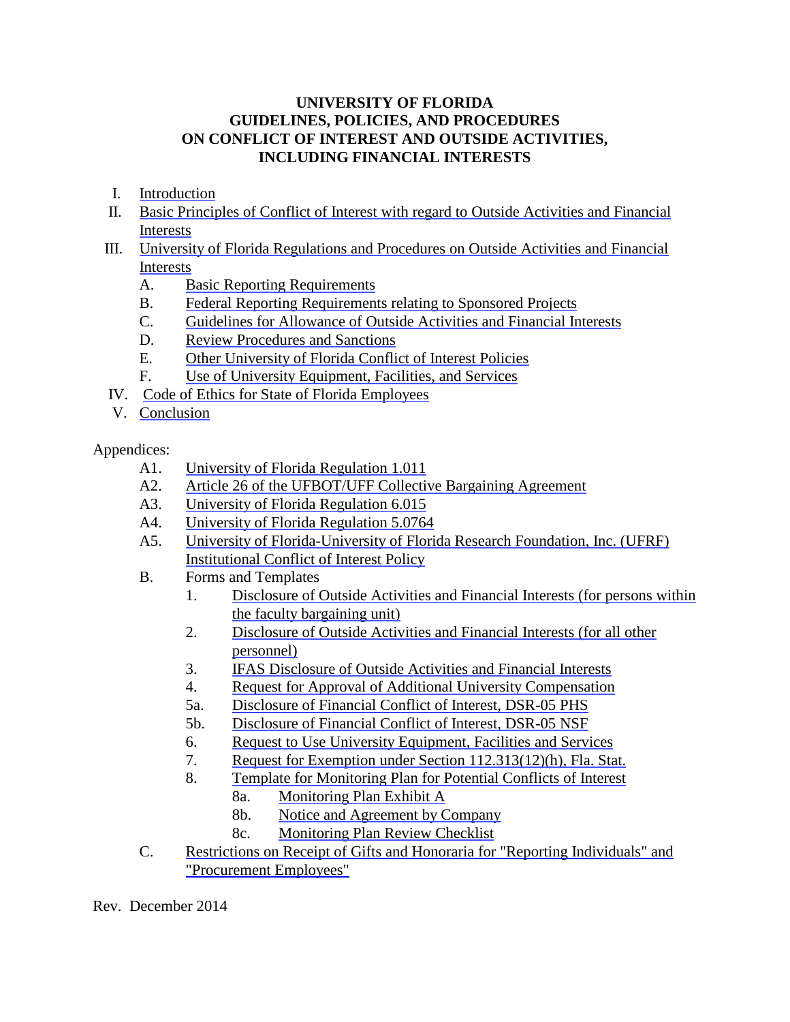# **UNIVERSITY OF FLORIDA GUIDELINES, POLICIES, AND PROCEDURES ON CONFLICT OF INTEREST AND OUTSIDE ACTIVITIES, INCLUDING FINANCIAL INTERESTS**

- I. [Introduction](#page-1-0)
- II. [Basic Principles of Conflict of Interest with regard to Outside Activities and Financial](#page-2-0) Interests
- III. [University of Florida Regulations and Procedures on Outside Activities and Financial](#page-5-0) Interests
	- A. [Basic Reporting Requirements](#page-6-0)
	- B. [Federal Reporting Requirements relating to Sponsored Projects](#page-9-0)
	- C. [Guidelines for Allowance of Outside Activities and Financial Interests](#page-12-0)
	- D. [Review Procedures and Sanctions](#page-15-0)
	- E. [Other University of Florida Conflict of Interest Policies](#page-15-0)
	- F. [Use of University Equipment, Facilities, and Services](#page-16-0)
- IV. [Code of Ethics for State of Florida Employees](#page-16-0)
- V. [Conclusion](#page-22-0)

Appendices:

- A1. [University of Florida Regulation 1.011](http://regulations.ufl.edu/wp-content/uploads/2012/09/1011.pdf)
- A2. [Article 26 of the UFBOT/UFF Collective Bargaining Agreement](http://hr.ufl.edu/wp-content/uploads/docs/UFF_articles/26_article.pdf)
- A3. [University of Florida Regulation 6.015](http://regulations.ufl.edu/wp-content/uploads/2012/09/6015.pdf)
- A4. [University of Florida Regulation 5.0764](http://regulations.ufl.edu/wp-content/uploads/2012/09/50764.pdf)
- A5. [University of Florida-University of Florida Research Foundation, Inc. \(UFRF\)](http://generalcounsel.ufl.edu/media/generalcounselufledu/documents/UFRF-Institutional-COI-Policy.pdf)  Institutional Conflict of Interest Policy
- B. Forms and Templates
	- 1. [Disclosure of Outside Activities and Financial Interests \(for persons within](http://www.aa.ufl.edu/Data/Sites/18/media/forms/outside-activity-form-in-unit-revised-070113.pdf) the faculty bargaining unit)
	- 2. [Disclosure of Outside Activities and Financial Interests \(for all other](http://generalcounsel.ufl.edu/media/ufledu/content-assets/generalcounselufledu/documents/AppendixB2.pdf) personnel)
	- 3. [IFAS Disclosure of Outside Activities and Financial Interests](http://hr.ifas.ufl.edu/pdf/IFAS_Form_2627_Revised_03-2011.pdf)
	- 4. [Request for Approval of Additional University Compensation](http://hr.ufl.edu/wp-content/uploads/forms/class_comp/requestaddcomp.pdf)
	- 5a. [Disclosure of Financial Conflict of Interest, DSR-05 PHS](http://research.ufl.edu/compliance/pdf/PHS_DSR5_rev1.pdf)
	- 5b. [Disclosure of Financial Conflict of Interest, DSR-05 NSF](http://research.ufl.edu/compliance/pdf/NSF1_DSR5_rev2.1.pdf)
	- 6. [Request to Use University Equipment, Facilities and Services](http://generalcounsel.ufl.edu/media/ufledu/content-assets/generalcounselufledu/documents/AppendixB6.pdf)
	- 7. [Request for Exemption under Section 112.313\(12\)\(h\), Fla. Stat.](http://generalcounsel.ufl.edu/media/generalcounselufledu/documents/Appendix-B7.doc)
	- 8. [Template for Monitoring Plan for Potential Conflicts of Interest](http://generalcounsel.ufl.edu/media/generalcounselufledu/documents/Appendix-B8.doc)
		- [8a. Monitoring Plan Exhibit A](http://generalcounsel.ufl.edu/media/ufledu/content-assets/generalcounselufledu/documents/AppendixB8a.doc)
		- [8b. Notice and Agreement by Company](http://generalcounsel.ufl.edu/media/ufledu/content-assets/generalcounselufledu/documents/AppendixB8b.doc)
		- [8c. Monitoring Plan Review Checklist](http://generalcounsel.ufl.edu/media/ufledu/content-assets/generalcounselufledu/documents/AppendixB8c.doc)
- C. [Restrictions on Receipt of Gifts and Honoraria for "Reporting Individuals" and](http://generalcounsel.ufl.edu/media/generalcounselufledu/documents/Appendix-C.pdf) "Procurement Employees"

Rev. December 2014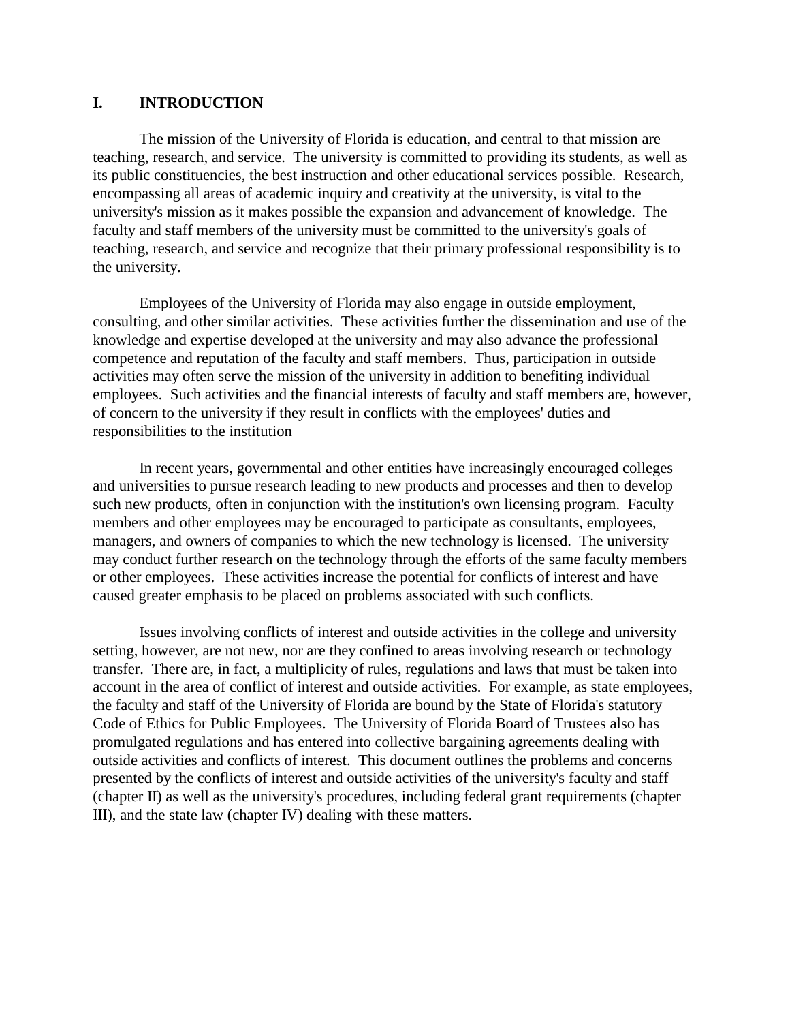#### <span id="page-1-0"></span>**I. INTRODUCTION**

The mission of the University of Florida is education, and central to that mission are teaching, research, and service. The university is committed to providing its students, as well as its public constituencies, the best instruction and other educational services possible. Research, encompassing all areas of academic inquiry and creativity at the university, is vital to the university's mission as it makes possible the expansion and advancement of knowledge. The faculty and staff members of the university must be committed to the university's goals of teaching, research, and service and recognize that their primary professional responsibility is to the university.

Employees of the University of Florida may also engage in outside employment, consulting, and other similar activities. These activities further the dissemination and use of the knowledge and expertise developed at the university and may also advance the professional competence and reputation of the faculty and staff members. Thus, participation in outside activities may often serve the mission of the university in addition to benefiting individual employees. Such activities and the financial interests of faculty and staff members are, however, of concern to the university if they result in conflicts with the employees' duties and responsibilities to the institution

In recent years, governmental and other entities have increasingly encouraged colleges and universities to pursue research leading to new products and processes and then to develop such new products, often in conjunction with the institution's own licensing program. Faculty members and other employees may be encouraged to participate as consultants, employees, managers, and owners of companies to which the new technology is licensed. The university may conduct further research on the technology through the efforts of the same faculty members or other employees. These activities increase the potential for conflicts of interest and have caused greater emphasis to be placed on problems associated with such conflicts.

Issues involving conflicts of interest and outside activities in the college and university setting, however, are not new, nor are they confined to areas involving research or technology transfer. There are, in fact, a multiplicity of rules, regulations and laws that must be taken into account in the area of conflict of interest and outside activities. For example, as state employees, the faculty and staff of the University of Florida are bound by the State of Florida's statutory Code of Ethics for Public Employees. The University of Florida Board of Trustees also has promulgated regulations and has entered into collective bargaining agreements dealing with outside activities and conflicts of interest. This document outlines the problems and concerns presented by the conflicts of interest and outside activities of the university's faculty and staff (chapter II) as well as the university's procedures, including federal grant requirements (chapter III), and the state law (chapter IV) dealing with these matters.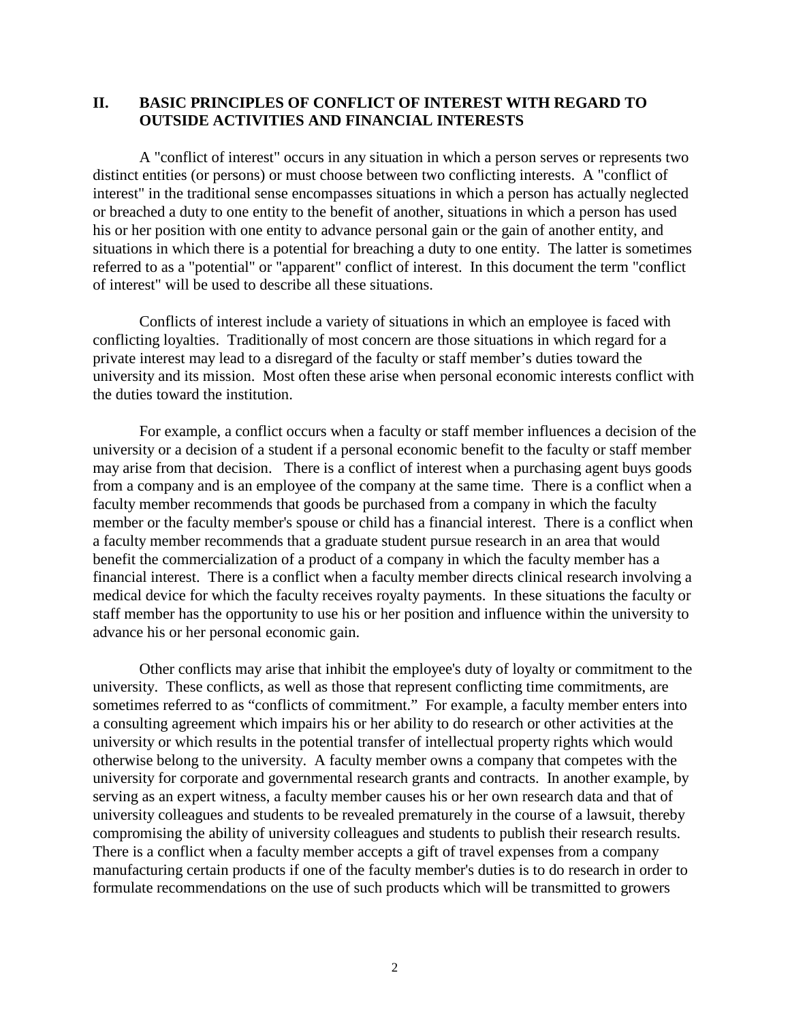## <span id="page-2-0"></span>**II. BASIC PRINCIPLES OF CONFLICT OF INTEREST WITH REGARD TO OUTSIDE ACTIVITIES AND FINANCIAL INTERESTS**

A "conflict of interest" occurs in any situation in which a person serves or represents two distinct entities (or persons) or must choose between two conflicting interests. A "conflict of interest" in the traditional sense encompasses situations in which a person has actually neglected or breached a duty to one entity to the benefit of another, situations in which a person has used his or her position with one entity to advance personal gain or the gain of another entity, and situations in which there is a potential for breaching a duty to one entity. The latter is sometimes referred to as a "potential" or "apparent" conflict of interest. In this document the term "conflict of interest" will be used to describe all these situations.

Conflicts of interest include a variety of situations in which an employee is faced with conflicting loyalties. Traditionally of most concern are those situations in which regard for a private interest may lead to a disregard of the faculty or staff member's duties toward the university and its mission. Most often these arise when personal economic interests conflict with the duties toward the institution.

For example, a conflict occurs when a faculty or staff member influences a decision of the university or a decision of a student if a personal economic benefit to the faculty or staff member may arise from that decision. There is a conflict of interest when a purchasing agent buys goods from a company and is an employee of the company at the same time. There is a conflict when a faculty member recommends that goods be purchased from a company in which the faculty member or the faculty member's spouse or child has a financial interest. There is a conflict when a faculty member recommends that a graduate student pursue research in an area that would benefit the commercialization of a product of a company in which the faculty member has a financial interest. There is a conflict when a faculty member directs clinical research involving a medical device for which the faculty receives royalty payments. In these situations the faculty or staff member has the opportunity to use his or her position and influence within the university to advance his or her personal economic gain.

Other conflicts may arise that inhibit the employee's duty of loyalty or commitment to the university. These conflicts, as well as those that represent conflicting time commitments, are sometimes referred to as "conflicts of commitment." For example, a faculty member enters into a consulting agreement which impairs his or her ability to do research or other activities at the university or which results in the potential transfer of intellectual property rights which would otherwise belong to the university. A faculty member owns a company that competes with the university for corporate and governmental research grants and contracts. In another example, by serving as an expert witness, a faculty member causes his or her own research data and that of university colleagues and students to be revealed prematurely in the course of a lawsuit, thereby compromising the ability of university colleagues and students to publish their research results. There is a conflict when a faculty member accepts a gift of travel expenses from a company manufacturing certain products if one of the faculty member's duties is to do research in order to formulate recommendations on the use of such products which will be transmitted to growers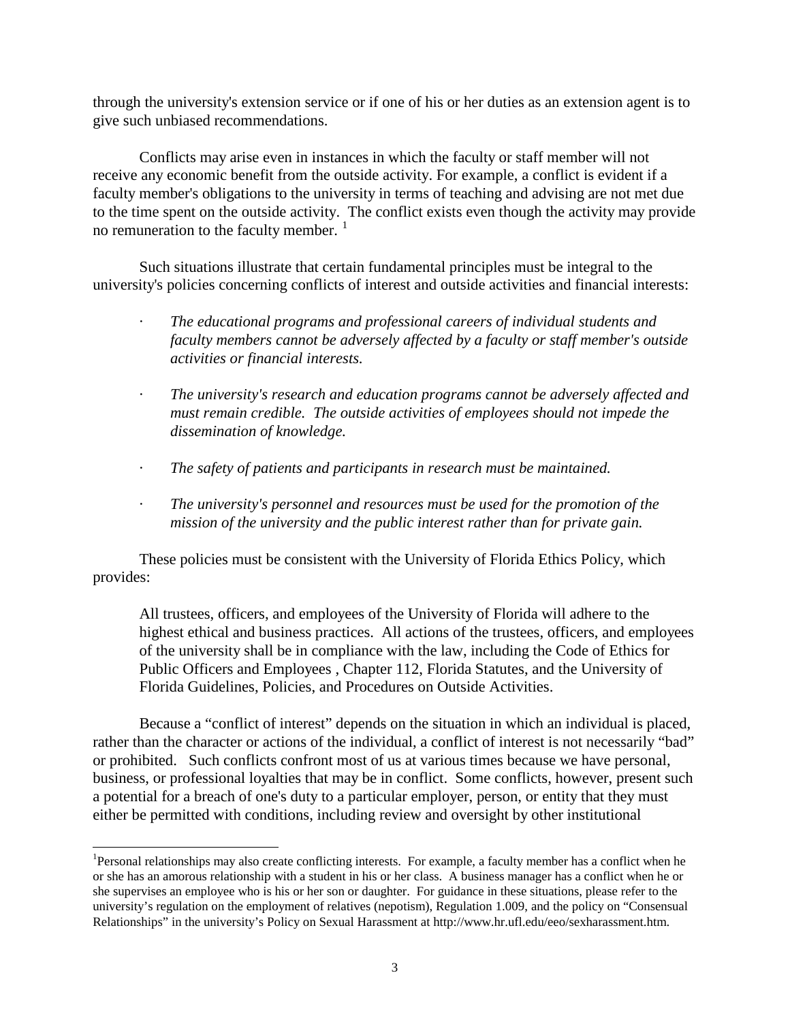through the university's extension service or if one of his or her duties as an extension agent is to give such unbiased recommendations.

Conflicts may arise even in instances in which the faculty or staff member will not receive any economic benefit from the outside activity. For example, a conflict is evident if a faculty member's obligations to the university in terms of teaching and advising are not met due to the time spent on the outside activity. The conflict exists even though the activity may provide no remuneration to the faculty member.<sup>[1](#page-3-0)</sup>

Such situations illustrate that certain fundamental principles must be integral to the university's policies concerning conflicts of interest and outside activities and financial interests:

- · *The educational programs and professional careers of individual students and faculty members cannot be adversely affected by a faculty or staff member's outside activities or financial interests.*
- · *The university's research and education programs cannot be adversely affected and must remain credible. The outside activities of employees should not impede the dissemination of knowledge.*
- · *The safety of patients and participants in research must be maintained.*
- · *The university's personnel and resources must be used for the promotion of the mission of the university and the public interest rather than for private gain.*

These policies must be consistent with the University of Florida Ethics Policy, which provides:

All trustees, officers, and employees of the University of Florida will adhere to the highest ethical and business practices. All actions of the trustees, officers, and employees of the university shall be in compliance with the law, including the Code of Ethics for Public Officers and Employees , Chapter 112, Florida Statutes, and the University of Florida Guidelines, Policies, and Procedures on Outside Activities.

Because a "conflict of interest" depends on the situation in which an individual is placed, rather than the character or actions of the individual, a conflict of interest is not necessarily "bad" or prohibited. Such conflicts confront most of us at various times because we have personal, business, or professional loyalties that may be in conflict. Some conflicts, however, present such a potential for a breach of one's duty to a particular employer, person, or entity that they must either be permitted with conditions, including review and oversight by other institutional

 $\overline{a}$ 

<span id="page-3-0"></span><sup>&</sup>lt;sup>1</sup>Personal relationships may also create conflicting interests. For example, a faculty member has a conflict when he or she has an amorous relationship with a student in his or her class. A business manager has a conflict when he or she supervises an employee who is his or her son or daughter. For guidance in these situations, please refer to the university's regulation on the employment of relatives (nepotism), Regulation 1.009, and the policy on "Consensual Relationships" in the university's Policy on Sexual Harassment at http://www.hr.ufl.edu/eeo/sexharassment.htm.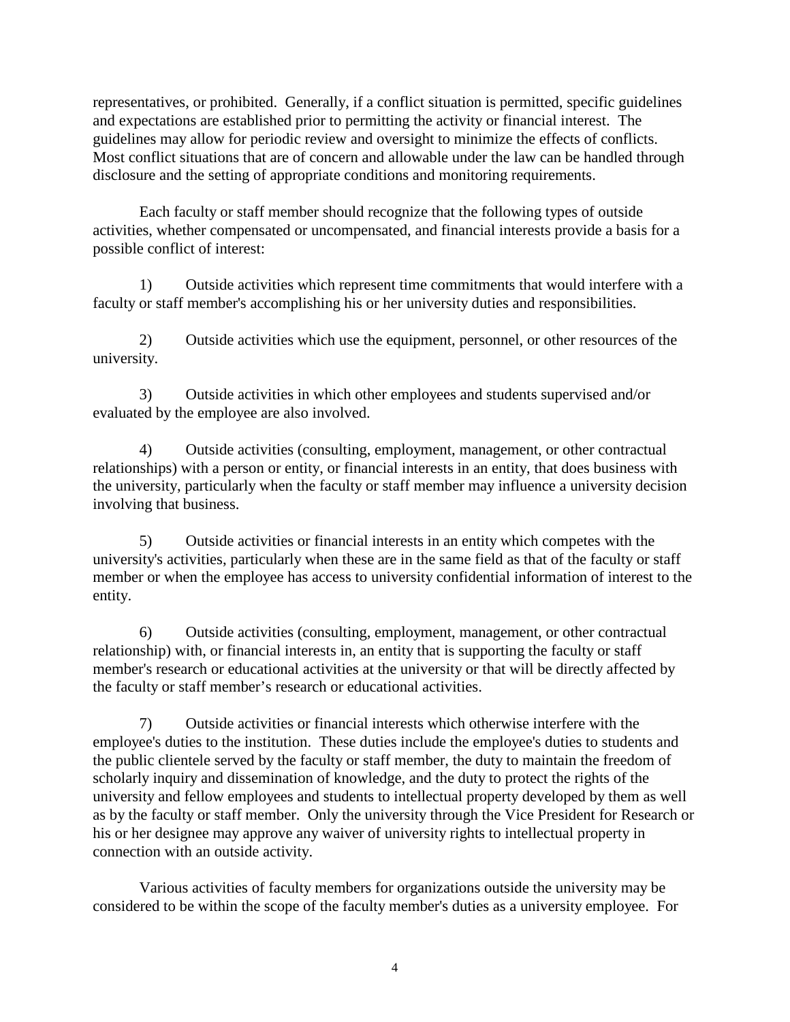representatives, or prohibited. Generally, if a conflict situation is permitted, specific guidelines and expectations are established prior to permitting the activity or financial interest. The guidelines may allow for periodic review and oversight to minimize the effects of conflicts. Most conflict situations that are of concern and allowable under the law can be handled through disclosure and the setting of appropriate conditions and monitoring requirements.

Each faculty or staff member should recognize that the following types of outside activities, whether compensated or uncompensated, and financial interests provide a basis for a possible conflict of interest:

1) Outside activities which represent time commitments that would interfere with a faculty or staff member's accomplishing his or her university duties and responsibilities.

2) Outside activities which use the equipment, personnel, or other resources of the university.

3) Outside activities in which other employees and students supervised and/or evaluated by the employee are also involved.

4) Outside activities (consulting, employment, management, or other contractual relationships) with a person or entity, or financial interests in an entity, that does business with the university, particularly when the faculty or staff member may influence a university decision involving that business.

5) Outside activities or financial interests in an entity which competes with the university's activities, particularly when these are in the same field as that of the faculty or staff member or when the employee has access to university confidential information of interest to the entity.

6) Outside activities (consulting, employment, management, or other contractual relationship) with, or financial interests in, an entity that is supporting the faculty or staff member's research or educational activities at the university or that will be directly affected by the faculty or staff member's research or educational activities.

7) Outside activities or financial interests which otherwise interfere with the employee's duties to the institution. These duties include the employee's duties to students and the public clientele served by the faculty or staff member, the duty to maintain the freedom of scholarly inquiry and dissemination of knowledge, and the duty to protect the rights of the university and fellow employees and students to intellectual property developed by them as well as by the faculty or staff member. Only the university through the Vice President for Research or his or her designee may approve any waiver of university rights to intellectual property in connection with an outside activity.

Various activities of faculty members for organizations outside the university may be considered to be within the scope of the faculty member's duties as a university employee. For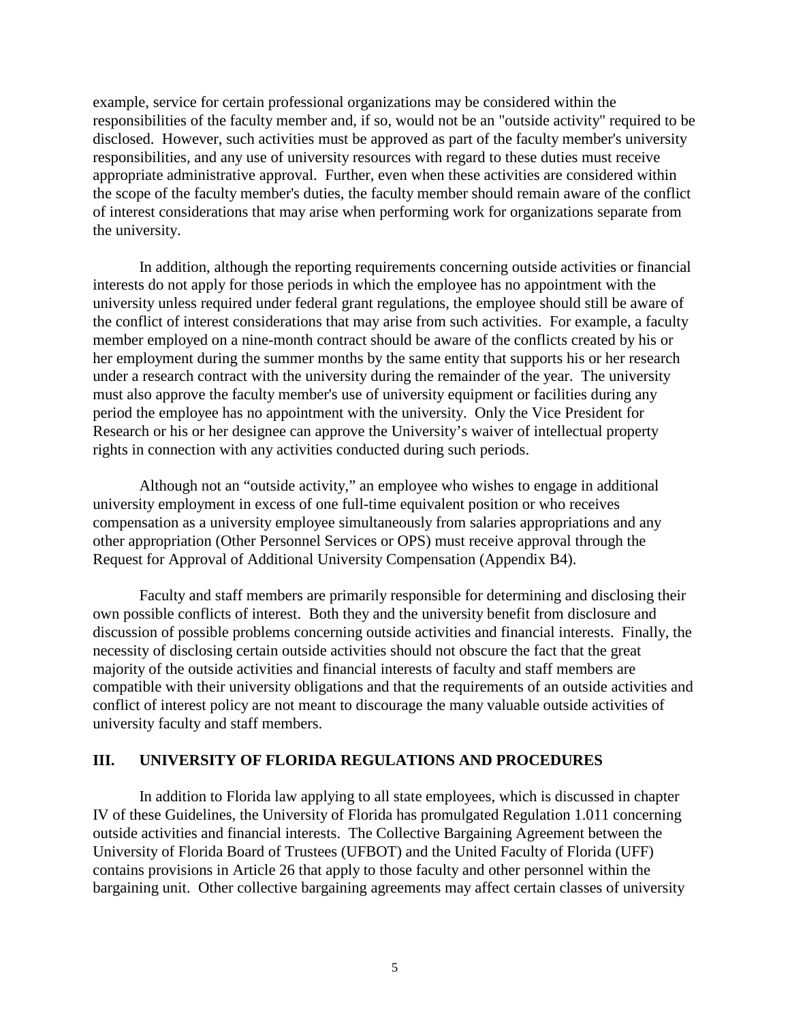<span id="page-5-0"></span>example, service for certain professional organizations may be considered within the responsibilities of the faculty member and, if so, would not be an "outside activity" required to be disclosed. However, such activities must be approved as part of the faculty member's university responsibilities, and any use of university resources with regard to these duties must receive appropriate administrative approval. Further, even when these activities are considered within the scope of the faculty member's duties, the faculty member should remain aware of the conflict of interest considerations that may arise when performing work for organizations separate from the university.

In addition, although the reporting requirements concerning outside activities or financial interests do not apply for those periods in which the employee has no appointment with the university unless required under federal grant regulations, the employee should still be aware of the conflict of interest considerations that may arise from such activities. For example, a faculty member employed on a nine-month contract should be aware of the conflicts created by his or her employment during the summer months by the same entity that supports his or her research under a research contract with the university during the remainder of the year. The university must also approve the faculty member's use of university equipment or facilities during any period the employee has no appointment with the university. Only the Vice President for Research or his or her designee can approve the University's waiver of intellectual property rights in connection with any activities conducted during such periods.

Although not an "outside activity," an employee who wishes to engage in additional university employment in excess of one full-time equivalent position or who receives compensation as a university employee simultaneously from salaries appropriations and any other appropriation (Other Personnel Services or OPS) must receive approval through the Request for Approval of Additional University Compensation (Appendix B4).

Faculty and staff members are primarily responsible for determining and disclosing their own possible conflicts of interest. Both they and the university benefit from disclosure and discussion of possible problems concerning outside activities and financial interests. Finally, the necessity of disclosing certain outside activities should not obscure the fact that the great majority of the outside activities and financial interests of faculty and staff members are compatible with their university obligations and that the requirements of an outside activities and conflict of interest policy are not meant to discourage the many valuable outside activities of university faculty and staff members.

#### **III. UNIVERSITY OF FLORIDA REGULATIONS AND PROCEDURES**

In addition to Florida law applying to all state employees, which is discussed in chapter IV of these Guidelines, the University of Florida has promulgated Regulation 1.011 concerning outside activities and financial interests. The Collective Bargaining Agreement between the University of Florida Board of Trustees (UFBOT) and the United Faculty of Florida (UFF) contains provisions in Article 26 that apply to those faculty and other personnel within the bargaining unit. Other collective bargaining agreements may affect certain classes of university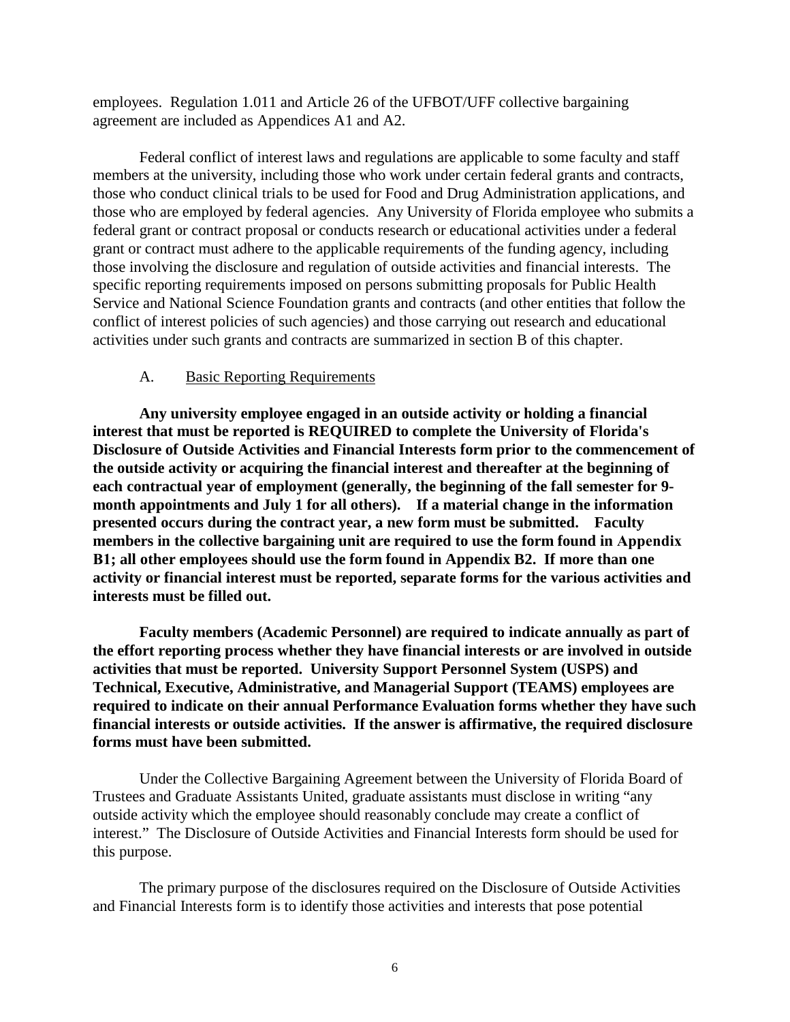<span id="page-6-0"></span>employees. Regulation 1.011 and Article 26 of the UFBOT/UFF collective bargaining agreement are included as Appendices A1 and A2.

Federal conflict of interest laws and regulations are applicable to some faculty and staff members at the university, including those who work under certain federal grants and contracts, those who conduct clinical trials to be used for Food and Drug Administration applications, and those who are employed by federal agencies. Any University of Florida employee who submits a federal grant or contract proposal or conducts research or educational activities under a federal grant or contract must adhere to the applicable requirements of the funding agency, including those involving the disclosure and regulation of outside activities and financial interests. The specific reporting requirements imposed on persons submitting proposals for Public Health Service and National Science Foundation grants and contracts (and other entities that follow the conflict of interest policies of such agencies) and those carrying out research and educational activities under such grants and contracts are summarized in section B of this chapter.

#### A. Basic Reporting Requirements

**Any university employee engaged in an outside activity or holding a financial interest that must be reported is REQUIRED to complete the University of Florida's Disclosure of Outside Activities and Financial Interests form prior to the commencement of the outside activity or acquiring the financial interest and thereafter at the beginning of each contractual year of employment (generally, the beginning of the fall semester for 9 month appointments and July 1 for all others). If a material change in the information presented occurs during the contract year, a new form must be submitted. Faculty members in the collective bargaining unit are required to use the form found in Appendix B1; all other employees should use the form found in Appendix B2. If more than one activity or financial interest must be reported, separate forms for the various activities and interests must be filled out.** 

**Faculty members (Academic Personnel) are required to indicate annually as part of the effort reporting process whether they have financial interests or are involved in outside activities that must be reported. University Support Personnel System (USPS) and Technical, Executive, Administrative, and Managerial Support (TEAMS) employees are required to indicate on their annual Performance Evaluation forms whether they have such financial interests or outside activities. If the answer is affirmative, the required disclosure forms must have been submitted.**

Under the Collective Bargaining Agreement between the University of Florida Board of Trustees and Graduate Assistants United, graduate assistants must disclose in writing "any outside activity which the employee should reasonably conclude may create a conflict of interest." The Disclosure of Outside Activities and Financial Interests form should be used for this purpose.

The primary purpose of the disclosures required on the Disclosure of Outside Activities and Financial Interests form is to identify those activities and interests that pose potential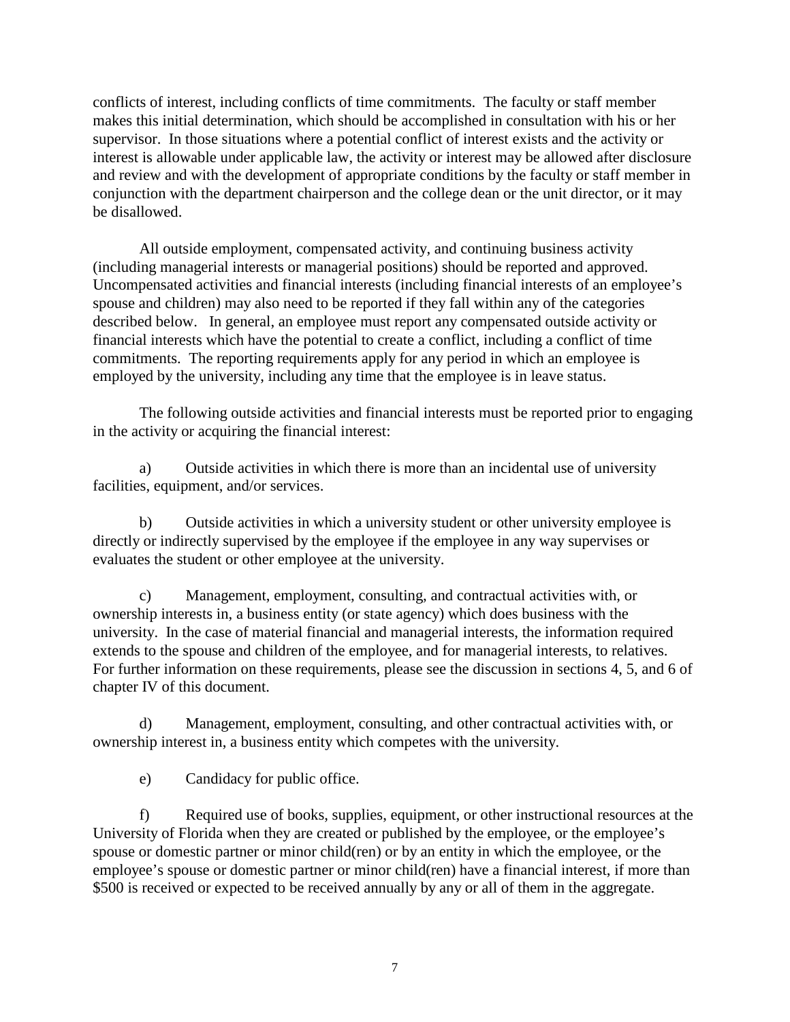conflicts of interest, including conflicts of time commitments. The faculty or staff member makes this initial determination, which should be accomplished in consultation with his or her supervisor. In those situations where a potential conflict of interest exists and the activity or interest is allowable under applicable law, the activity or interest may be allowed after disclosure and review and with the development of appropriate conditions by the faculty or staff member in conjunction with the department chairperson and the college dean or the unit director, or it may be disallowed.

All outside employment, compensated activity, and continuing business activity (including managerial interests or managerial positions) should be reported and approved. Uncompensated activities and financial interests (including financial interests of an employee's spouse and children) may also need to be reported if they fall within any of the categories described below. In general, an employee must report any compensated outside activity or financial interests which have the potential to create a conflict, including a conflict of time commitments. The reporting requirements apply for any period in which an employee is employed by the university, including any time that the employee is in leave status.

The following outside activities and financial interests must be reported prior to engaging in the activity or acquiring the financial interest:

a) Outside activities in which there is more than an incidental use of university facilities, equipment, and/or services.

b) Outside activities in which a university student or other university employee is directly or indirectly supervised by the employee if the employee in any way supervises or evaluates the student or other employee at the university.

c) Management, employment, consulting, and contractual activities with, or ownership interests in, a business entity (or state agency) which does business with the university. In the case of material financial and managerial interests, the information required extends to the spouse and children of the employee, and for managerial interests, to relatives. For further information on these requirements, please see the discussion in sections 4, 5, and 6 of chapter IV of this document.

d) Management, employment, consulting, and other contractual activities with, or ownership interest in, a business entity which competes with the university.

e) Candidacy for public office.

f) Required use of books, supplies, equipment, or other instructional resources at the University of Florida when they are created or published by the employee, or the employee's spouse or domestic partner or minor child(ren) or by an entity in which the employee, or the employee's spouse or domestic partner or minor child(ren) have a financial interest, if more than \$500 is received or expected to be received annually by any or all of them in the aggregate.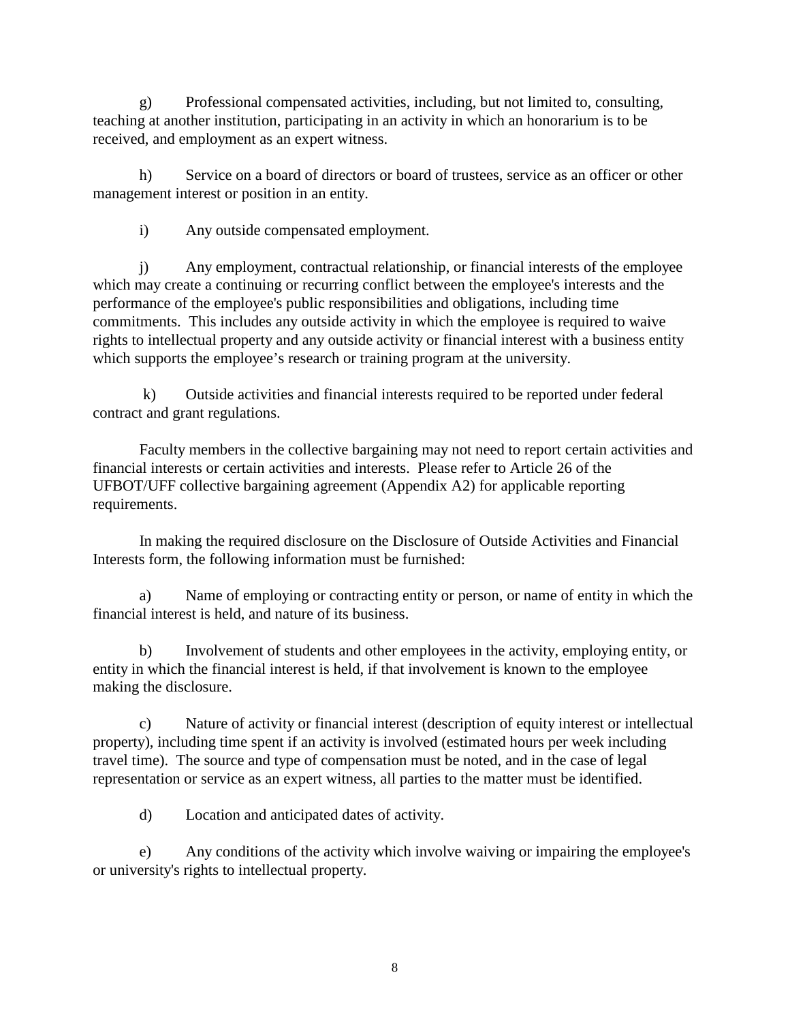g) Professional compensated activities, including, but not limited to, consulting, teaching at another institution, participating in an activity in which an honorarium is to be received, and employment as an expert witness.

h) Service on a board of directors or board of trustees, service as an officer or other management interest or position in an entity.

i) Any outside compensated employment.

j) Any employment, contractual relationship, or financial interests of the employee which may create a continuing or recurring conflict between the employee's interests and the performance of the employee's public responsibilities and obligations, including time commitments. This includes any outside activity in which the employee is required to waive rights to intellectual property and any outside activity or financial interest with a business entity which supports the employee's research or training program at the university.

k) Outside activities and financial interests required to be reported under federal contract and grant regulations.

Faculty members in the collective bargaining may not need to report certain activities and financial interests or certain activities and interests. Please refer to Article 26 of the UFBOT/UFF collective bargaining agreement (Appendix A2) for applicable reporting requirements.

In making the required disclosure on the Disclosure of Outside Activities and Financial Interests form, the following information must be furnished:

a) Name of employing or contracting entity or person, or name of entity in which the financial interest is held, and nature of its business.

b) Involvement of students and other employees in the activity, employing entity, or entity in which the financial interest is held, if that involvement is known to the employee making the disclosure.

c) Nature of activity or financial interest (description of equity interest or intellectual property), including time spent if an activity is involved (estimated hours per week including travel time). The source and type of compensation must be noted, and in the case of legal representation or service as an expert witness, all parties to the matter must be identified.

d) Location and anticipated dates of activity.

e) Any conditions of the activity which involve waiving or impairing the employee's or university's rights to intellectual property.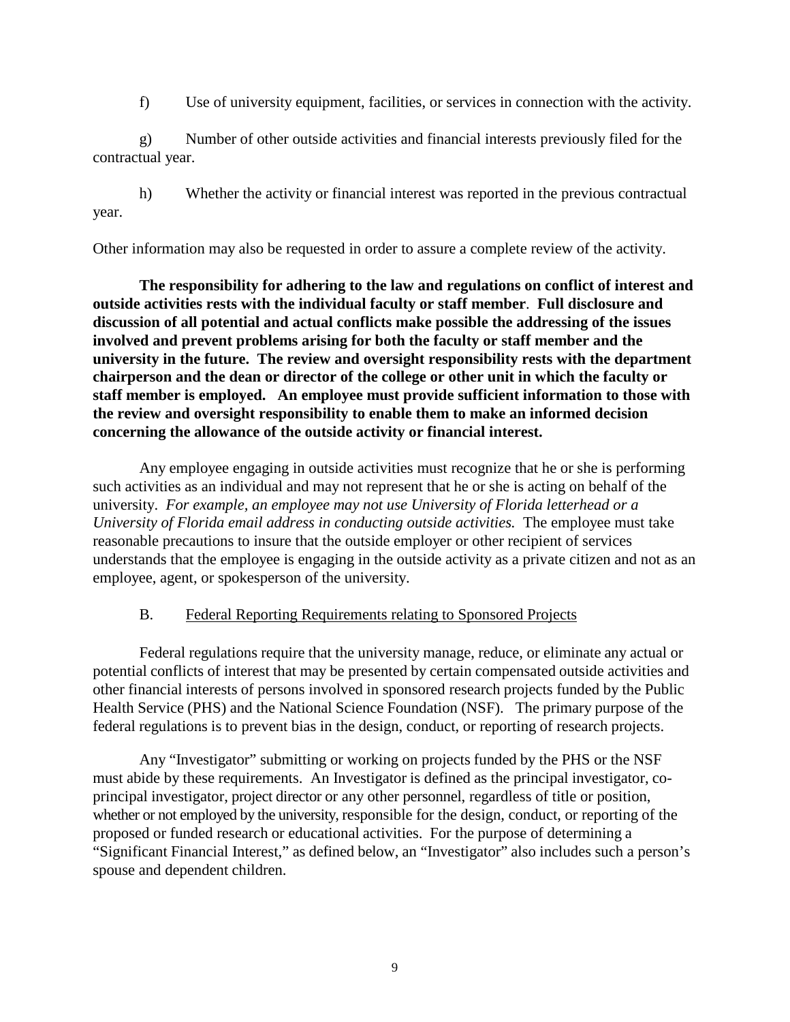f) Use of university equipment, facilities, or services in connection with the activity.

<span id="page-9-0"></span>g) Number of other outside activities and financial interests previously filed for the contractual year.

h) Whether the activity or financial interest was reported in the previous contractual year.

Other information may also be requested in order to assure a complete review of the activity.

**The responsibility for adhering to the law and regulations on conflict of interest and outside activities rests with the individual faculty or staff member**. **Full disclosure and discussion of all potential and actual conflicts make possible the addressing of the issues involved and prevent problems arising for both the faculty or staff member and the university in the future. The review and oversight responsibility rests with the department chairperson and the dean or director of the college or other unit in which the faculty or staff member is employed. An employee must provide sufficient information to those with the review and oversight responsibility to enable them to make an informed decision concerning the allowance of the outside activity or financial interest.** 

Any employee engaging in outside activities must recognize that he or she is performing such activities as an individual and may not represent that he or she is acting on behalf of the university. *For example, an employee may not use University of Florida letterhead or a University of Florida email address in conducting outside activities.* The employee must take reasonable precautions to insure that the outside employer or other recipient of services understands that the employee is engaging in the outside activity as a private citizen and not as an employee, agent, or spokesperson of the university.

# B. Federal Reporting Requirements relating to Sponsored Projects

Federal regulations require that the university manage, reduce, or eliminate any actual or potential conflicts of interest that may be presented by certain compensated outside activities and other financial interests of persons involved in sponsored research projects funded by the Public Health Service (PHS) and the National Science Foundation (NSF). The primary purpose of the federal regulations is to prevent bias in the design, conduct, or reporting of research projects.

Any "Investigator" submitting or working on projects funded by the PHS or the NSF must abide by these requirements. An Investigator is defined as the principal investigator, coprincipal investigator, project director or any other personnel, regardless of title or position, whether or not employed by the university, responsible for the design, conduct, or reporting of the proposed or funded research or educational activities. For the purpose of determining a "Significant Financial Interest," as defined below, an "Investigator" also includes such a person's spouse and dependent children.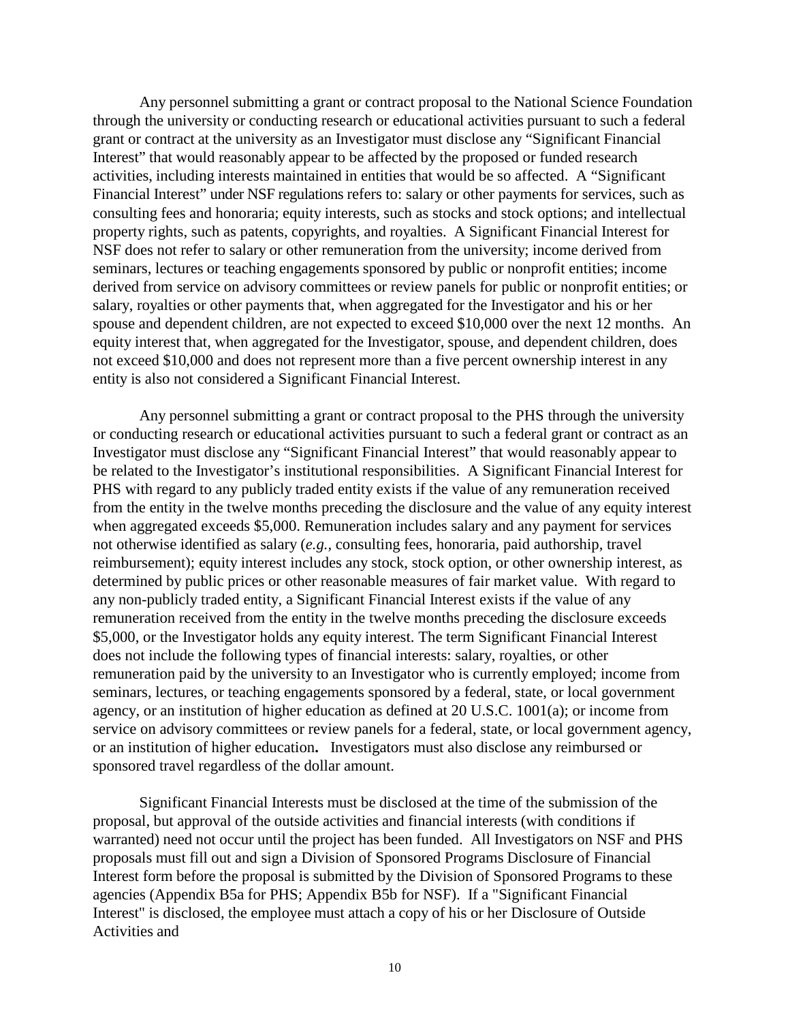Any personnel submitting a grant or contract proposal to the National Science Foundation through the university or conducting research or educational activities pursuant to such a federal grant or contract at the university as an Investigator must disclose any "Significant Financial Interest" that would reasonably appear to be affected by the proposed or funded research activities, including interests maintained in entities that would be so affected. A "Significant Financial Interest" under NSF regulations refers to: salary or other payments for services, such as consulting fees and honoraria; equity interests, such as stocks and stock options; and intellectual property rights, such as patents, copyrights, and royalties. A Significant Financial Interest for NSF does not refer to salary or other remuneration from the university; income derived from seminars, lectures or teaching engagements sponsored by public or nonprofit entities; income derived from service on advisory committees or review panels for public or nonprofit entities; or salary, royalties or other payments that, when aggregated for the Investigator and his or her spouse and dependent children, are not expected to exceed \$10,000 over the next 12 months. An equity interest that, when aggregated for the Investigator, spouse, and dependent children, does not exceed \$10,000 and does not represent more than a five percent ownership interest in any entity is also not considered a Significant Financial Interest.

Any personnel submitting a grant or contract proposal to the PHS through the university or conducting research or educational activities pursuant to such a federal grant or contract as an Investigator must disclose any "Significant Financial Interest" that would reasonably appear to be related to the Investigator's institutional responsibilities. A Significant Financial Interest for PHS with regard to any publicly traded entity exists if the value of any remuneration received from the entity in the twelve months preceding the disclosure and the value of any equity interest when aggregated exceeds \$5,000. Remuneration includes salary and any payment for services not otherwise identified as salary (*e.g.,* consulting fees, honoraria, paid authorship, travel reimbursement); equity interest includes any stock, stock option, or other ownership interest, as determined by public prices or other reasonable measures of fair market value. With regard to any non-publicly traded entity, a Significant Financial Interest exists if the value of any remuneration received from the entity in the twelve months preceding the disclosure exceeds \$5,000, or the Investigator holds any equity interest. The term Significant Financial Interest does not include the following types of financial interests: salary, royalties, or other remuneration paid by the university to an Investigator who is currently employed; income from seminars, lectures, or teaching engagements sponsored by a federal, state, or local government agency, or an institution of higher education as defined at 20 U.S.C. 1001(a); or income from service on advisory committees or review panels for a federal, state, or local government agency, or an institution of higher education**.** Investigators must also disclose any reimbursed or sponsored travel regardless of the dollar amount.

Significant Financial Interests must be disclosed at the time of the submission of the proposal, but approval of the outside activities and financial interests (with conditions if warranted) need not occur until the project has been funded. All Investigators on NSF and PHS proposals must fill out and sign a Division of Sponsored Programs Disclosure of Financial Interest form before the proposal is submitted by the Division of Sponsored Programs to these agencies (Appendix B5a for PHS; Appendix B5b for NSF). If a "Significant Financial Interest" is disclosed, the employee must attach a copy of his or her Disclosure of Outside Activities and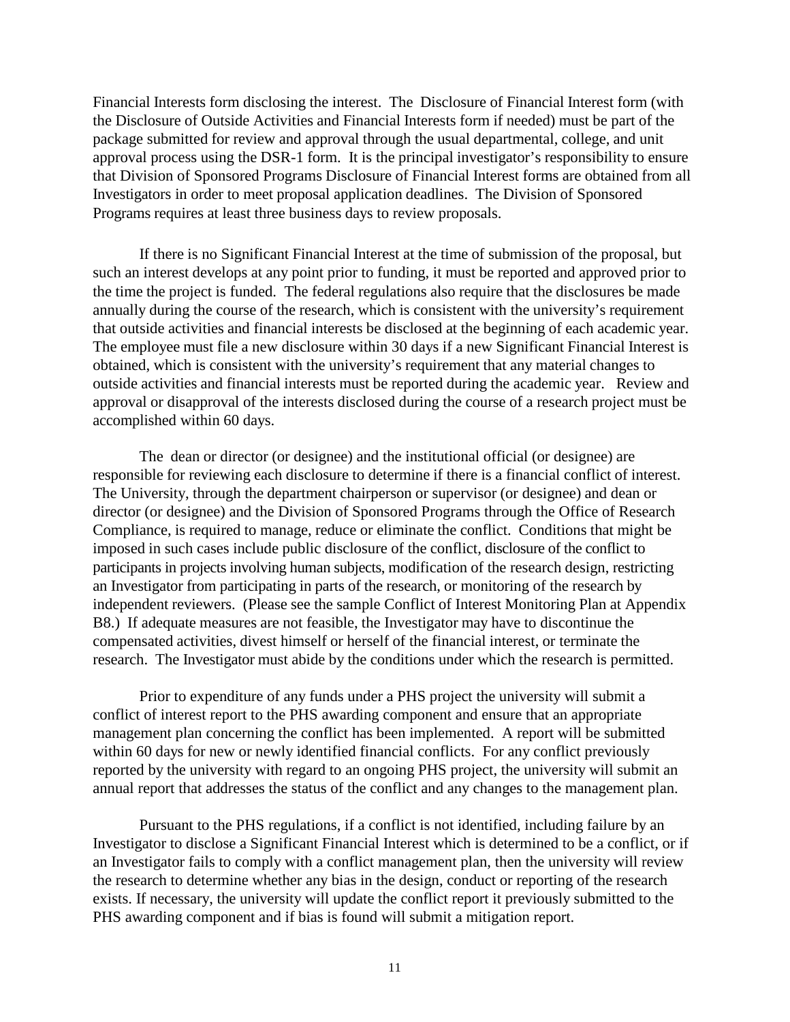Financial Interests form disclosing the interest. The Disclosure of Financial Interest form (with the Disclosure of Outside Activities and Financial Interests form if needed) must be part of the package submitted for review and approval through the usual departmental, college, and unit approval process using the DSR-1 form. It is the principal investigator's responsibility to ensure that Division of Sponsored Programs Disclosure of Financial Interest forms are obtained from all Investigators in order to meet proposal application deadlines. The Division of Sponsored Programs requires at least three business days to review proposals.

If there is no Significant Financial Interest at the time of submission of the proposal, but such an interest develops at any point prior to funding, it must be reported and approved prior to the time the project is funded. The federal regulations also require that the disclosures be made annually during the course of the research, which is consistent with the university's requirement that outside activities and financial interests be disclosed at the beginning of each academic year. The employee must file a new disclosure within 30 days if a new Significant Financial Interest is obtained, which is consistent with the university's requirement that any material changes to outside activities and financial interests must be reported during the academic year. Review and approval or disapproval of the interests disclosed during the course of a research project must be accomplished within 60 days.

The dean or director (or designee) and the institutional official (or designee) are responsible for reviewing each disclosure to determine if there is a financial conflict of interest. The University, through the department chairperson or supervisor (or designee) and dean or director (or designee) and the Division of Sponsored Programs through the Office of Research Compliance, is required to manage, reduce or eliminate the conflict. Conditions that might be imposed in such cases include public disclosure of the conflict, disclosure of the conflict to participants in projects involving human subjects, modification of the research design, restricting an Investigator from participating in parts of the research, or monitoring of the research by independent reviewers. (Please see the sample Conflict of Interest Monitoring Plan at Appendix B8.) If adequate measures are not feasible, the Investigator may have to discontinue the compensated activities, divest himself or herself of the financial interest, or terminate the research. The Investigator must abide by the conditions under which the research is permitted.

Prior to expenditure of any funds under a PHS project the university will submit a conflict of interest report to the PHS awarding component and ensure that an appropriate management plan concerning the conflict has been implemented. A report will be submitted within 60 days for new or newly identified financial conflicts. For any conflict previously reported by the university with regard to an ongoing PHS project, the university will submit an annual report that addresses the status of the conflict and any changes to the management plan.

Pursuant to the PHS regulations, if a conflict is not identified, including failure by an Investigator to disclose a Significant Financial Interest which is determined to be a conflict, or if an Investigator fails to comply with a conflict management plan, then the university will review the research to determine whether any bias in the design, conduct or reporting of the research exists. If necessary, the university will update the conflict report it previously submitted to the PHS awarding component and if bias is found will submit a mitigation report.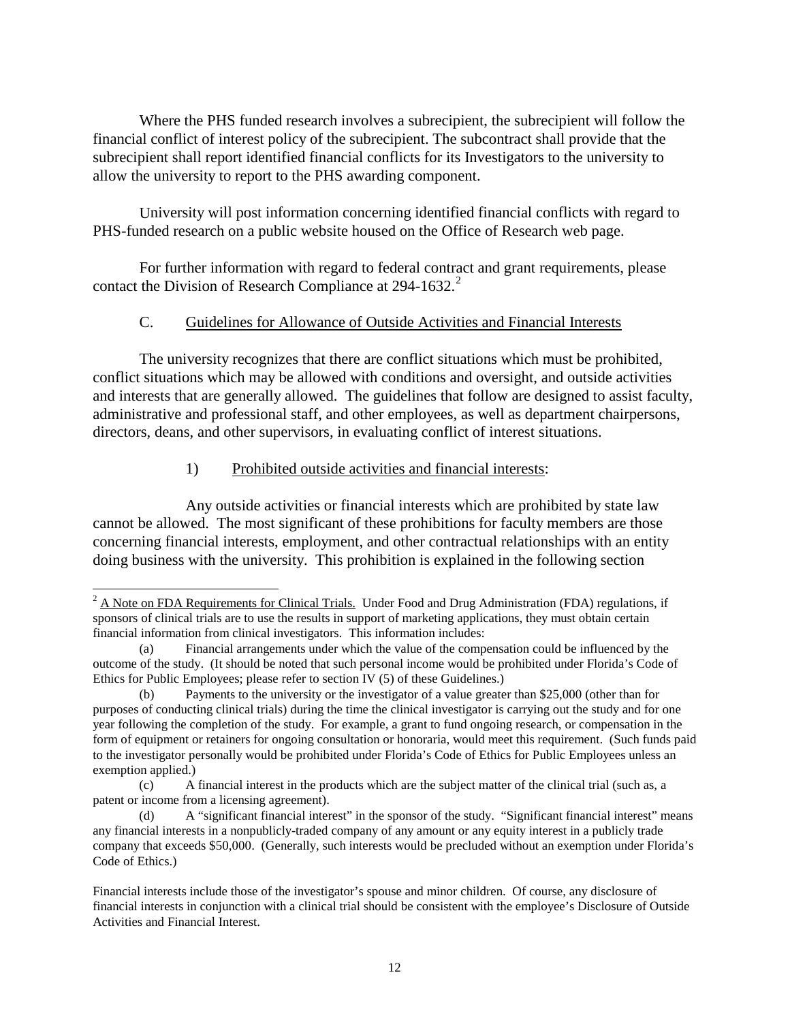<span id="page-12-0"></span>Where the PHS funded research involves a subrecipient, the subrecipient will follow the financial conflict of interest policy of the subrecipient. The subcontract shall provide that the subrecipient shall report identified financial conflicts for its Investigators to the university to allow the university to report to the PHS awarding component.

University will post information concerning identified financial conflicts with regard to PHS-funded research on a public website housed on the Office of Research web page.

For further information with regard to federal contract and grant requirements, please contact the Division of Research Compliance at  $294-1632$  $294-1632$ .<sup>2</sup>

## C. Guidelines for Allowance of Outside Activities and Financial Interests

The university recognizes that there are conflict situations which must be prohibited, conflict situations which may be allowed with conditions and oversight, and outside activities and interests that are generally allowed. The guidelines that follow are designed to assist faculty, administrative and professional staff, and other employees, as well as department chairpersons, directors, deans, and other supervisors, in evaluating conflict of interest situations.

## 1) Prohibited outside activities and financial interests:

Any outside activities or financial interests which are prohibited by state law cannot be allowed. The most significant of these prohibitions for faculty members are those concerning financial interests, employment, and other contractual relationships with an entity doing business with the university. This prohibition is explained in the following section

<span id="page-12-1"></span><sup>&</sup>lt;sup>2</sup> A Note on FDA Requirements for Clinical Trials. Under Food and Drug Administration (FDA) regulations, if sponsors of clinical trials are to use the results in support of marketing applications, they must obtain certain financial information from clinical investigators. This information includes:

<sup>(</sup>a) Financial arrangements under which the value of the compensation could be influenced by the outcome of the study. (It should be noted that such personal income would be prohibited under Florida's Code of Ethics for Public Employees; please refer to section IV (5) of these Guidelines.)

<sup>(</sup>b) Payments to the university or the investigator of a value greater than \$25,000 (other than for purposes of conducting clinical trials) during the time the clinical investigator is carrying out the study and for one year following the completion of the study. For example, a grant to fund ongoing research, or compensation in the form of equipment or retainers for ongoing consultation or honoraria, would meet this requirement. (Such funds paid to the investigator personally would be prohibited under Florida's Code of Ethics for Public Employees unless an exemption applied.)

<sup>(</sup>c) A financial interest in the products which are the subject matter of the clinical trial (such as, a patent or income from a licensing agreement).

<sup>(</sup>d) A "significant financial interest" in the sponsor of the study. "Significant financial interest" means any financial interests in a nonpublicly-traded company of any amount or any equity interest in a publicly trade company that exceeds \$50,000. (Generally, such interests would be precluded without an exemption under Florida's Code of Ethics.)

Financial interests include those of the investigator's spouse and minor children. Of course, any disclosure of financial interests in conjunction with a clinical trial should be consistent with the employee's Disclosure of Outside Activities and Financial Interest.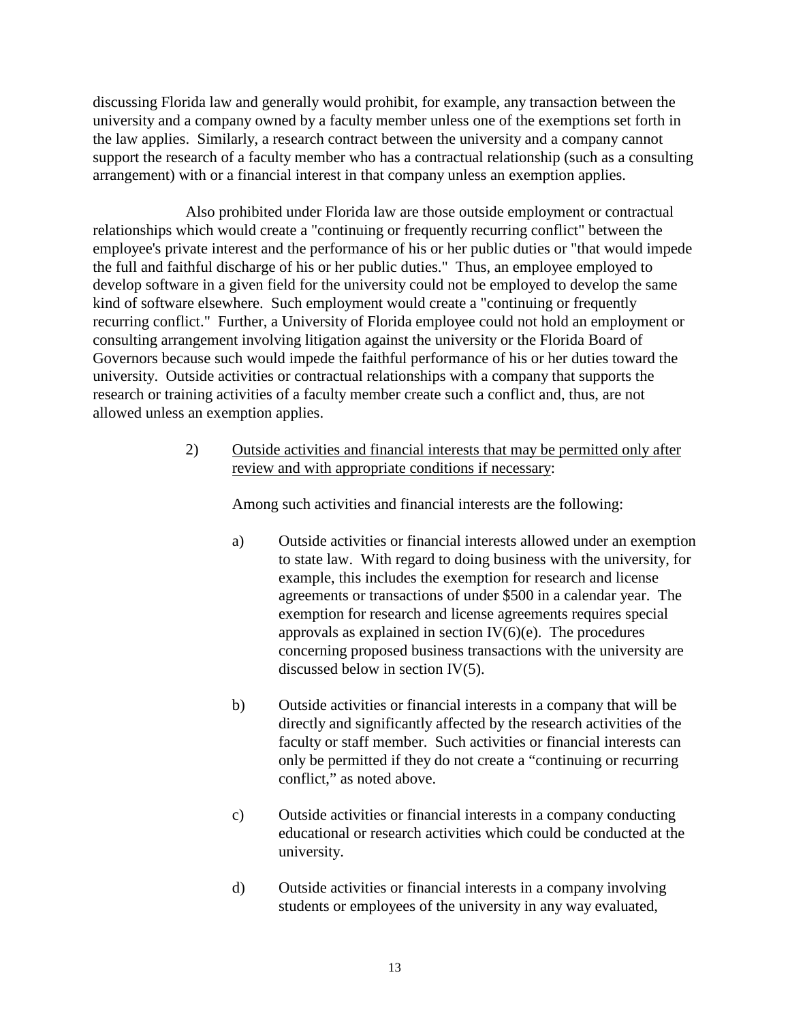discussing Florida law and generally would prohibit, for example, any transaction between the university and a company owned by a faculty member unless one of the exemptions set forth in the law applies. Similarly, a research contract between the university and a company cannot support the research of a faculty member who has a contractual relationship (such as a consulting arrangement) with or a financial interest in that company unless an exemption applies.

Also prohibited under Florida law are those outside employment or contractual relationships which would create a "continuing or frequently recurring conflict" between the employee's private interest and the performance of his or her public duties or "that would impede the full and faithful discharge of his or her public duties." Thus, an employee employed to develop software in a given field for the university could not be employed to develop the same kind of software elsewhere. Such employment would create a "continuing or frequently recurring conflict." Further, a University of Florida employee could not hold an employment or consulting arrangement involving litigation against the university or the Florida Board of Governors because such would impede the faithful performance of his or her duties toward the university. Outside activities or contractual relationships with a company that supports the research or training activities of a faculty member create such a conflict and, thus, are not allowed unless an exemption applies.

> 2) Outside activities and financial interests that may be permitted only after review and with appropriate conditions if necessary:

Among such activities and financial interests are the following:

- a) Outside activities or financial interests allowed under an exemption to state law. With regard to doing business with the university, for example, this includes the exemption for research and license agreements or transactions of under \$500 in a calendar year. The exemption for research and license agreements requires special approvals as explained in section  $IV(6)(e)$ . The procedures concerning proposed business transactions with the university are discussed below in section IV(5).
- b) Outside activities or financial interests in a company that will be directly and significantly affected by the research activities of the faculty or staff member. Such activities or financial interests can only be permitted if they do not create a "continuing or recurring conflict," as noted above.
- c) Outside activities or financial interests in a company conducting educational or research activities which could be conducted at the university.
- d) Outside activities or financial interests in a company involving students or employees of the university in any way evaluated,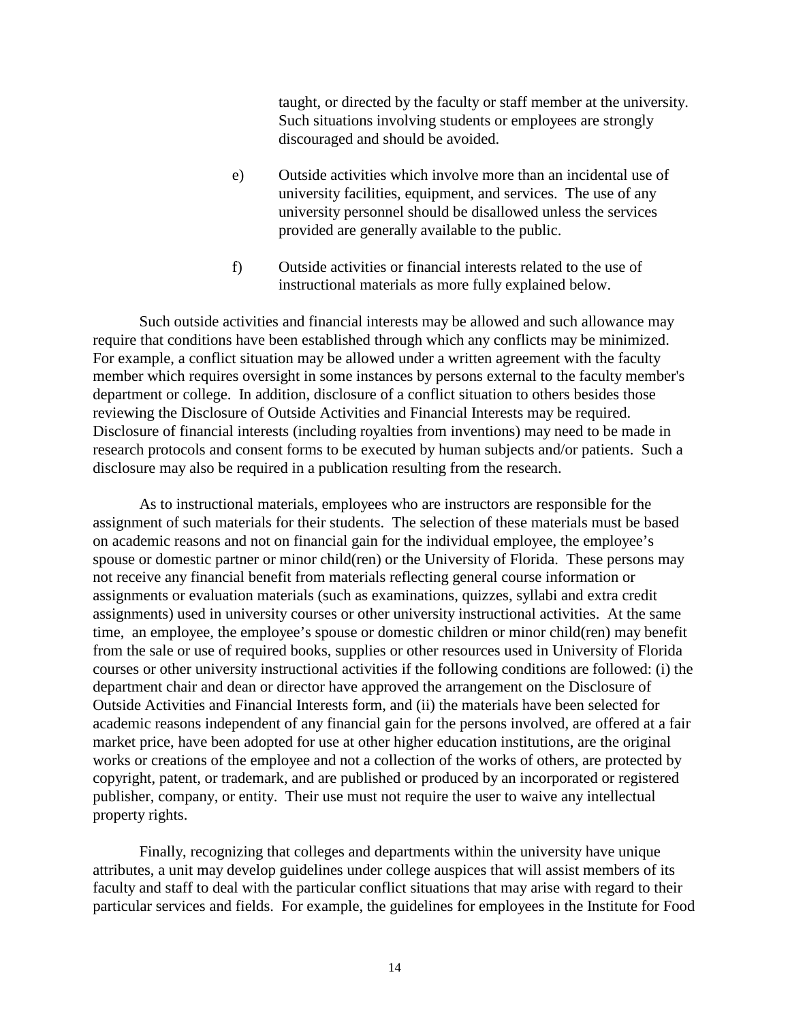taught, or directed by the faculty or staff member at the university. Such situations involving students or employees are strongly discouraged and should be avoided.

- e) Outside activities which involve more than an incidental use of university facilities, equipment, and services. The use of any university personnel should be disallowed unless the services provided are generally available to the public.
- f) Outside activities or financial interests related to the use of instructional materials as more fully explained below.

Such outside activities and financial interests may be allowed and such allowance may require that conditions have been established through which any conflicts may be minimized. For example, a conflict situation may be allowed under a written agreement with the faculty member which requires oversight in some instances by persons external to the faculty member's department or college. In addition, disclosure of a conflict situation to others besides those reviewing the Disclosure of Outside Activities and Financial Interests may be required. Disclosure of financial interests (including royalties from inventions) may need to be made in research protocols and consent forms to be executed by human subjects and/or patients. Such a disclosure may also be required in a publication resulting from the research.

As to instructional materials, employees who are instructors are responsible for the assignment of such materials for their students. The selection of these materials must be based on academic reasons and not on financial gain for the individual employee, the employee's spouse or domestic partner or minor child(ren) or the University of Florida. These persons may not receive any financial benefit from materials reflecting general course information or assignments or evaluation materials (such as examinations, quizzes, syllabi and extra credit assignments) used in university courses or other university instructional activities. At the same time, an employee, the employee's spouse or domestic children or minor child(ren) may benefit from the sale or use of required books, supplies or other resources used in University of Florida courses or other university instructional activities if the following conditions are followed: (i) the department chair and dean or director have approved the arrangement on the Disclosure of Outside Activities and Financial Interests form, and (ii) the materials have been selected for academic reasons independent of any financial gain for the persons involved, are offered at a fair market price, have been adopted for use at other higher education institutions, are the original works or creations of the employee and not a collection of the works of others, are protected by copyright, patent, or trademark, and are published or produced by an incorporated or registered publisher, company, or entity. Their use must not require the user to waive any intellectual property rights.

Finally, recognizing that colleges and departments within the university have unique attributes, a unit may develop guidelines under college auspices that will assist members of its faculty and staff to deal with the particular conflict situations that may arise with regard to their particular services and fields. For example, the guidelines for employees in the Institute for Food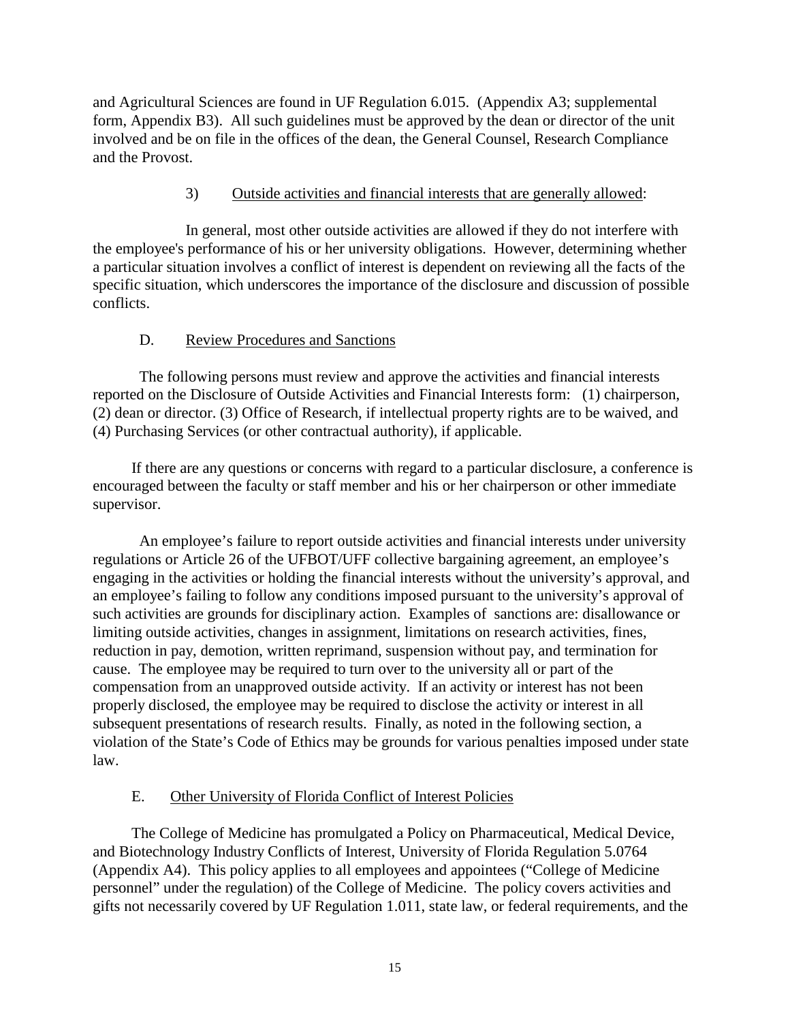<span id="page-15-0"></span>and Agricultural Sciences are found in UF Regulation 6.015. (Appendix A3; supplemental form, Appendix B3). All such guidelines must be approved by the dean or director of the unit involved and be on file in the offices of the dean, the General Counsel, Research Compliance and the Provost.

# 3) Outside activities and financial interests that are generally allowed:

In general, most other outside activities are allowed if they do not interfere with the employee's performance of his or her university obligations. However, determining whether a particular situation involves a conflict of interest is dependent on reviewing all the facts of the specific situation, which underscores the importance of the disclosure and discussion of possible conflicts.

## D. Review Procedures and Sanctions

The following persons must review and approve the activities and financial interests reported on the Disclosure of Outside Activities and Financial Interests form: (1) chairperson, (2) dean or director. (3) Office of Research, if intellectual property rights are to be waived, and (4) Purchasing Services (or other contractual authority), if applicable.

If there are any questions or concerns with regard to a particular disclosure, a conference is encouraged between the faculty or staff member and his or her chairperson or other immediate supervisor.

An employee's failure to report outside activities and financial interests under university regulations or Article 26 of the UFBOT/UFF collective bargaining agreement, an employee's engaging in the activities or holding the financial interests without the university's approval, and an employee's failing to follow any conditions imposed pursuant to the university's approval of such activities are grounds for disciplinary action. Examples of sanctions are: disallowance or limiting outside activities, changes in assignment, limitations on research activities, fines, reduction in pay, demotion, written reprimand, suspension without pay, and termination for cause. The employee may be required to turn over to the university all or part of the compensation from an unapproved outside activity. If an activity or interest has not been properly disclosed, the employee may be required to disclose the activity or interest in all subsequent presentations of research results. Finally, as noted in the following section, a violation of the State's Code of Ethics may be grounds for various penalties imposed under state law.

# E. Other University of Florida Conflict of Interest Policies

The College of Medicine has promulgated a Policy on Pharmaceutical, Medical Device, and Biotechnology Industry Conflicts of Interest, University of Florida Regulation 5.0764 (Appendix A4). This policy applies to all employees and appointees ("College of Medicine personnel" under the regulation) of the College of Medicine. The policy covers activities and gifts not necessarily covered by UF Regulation 1.011, state law, or federal requirements, and the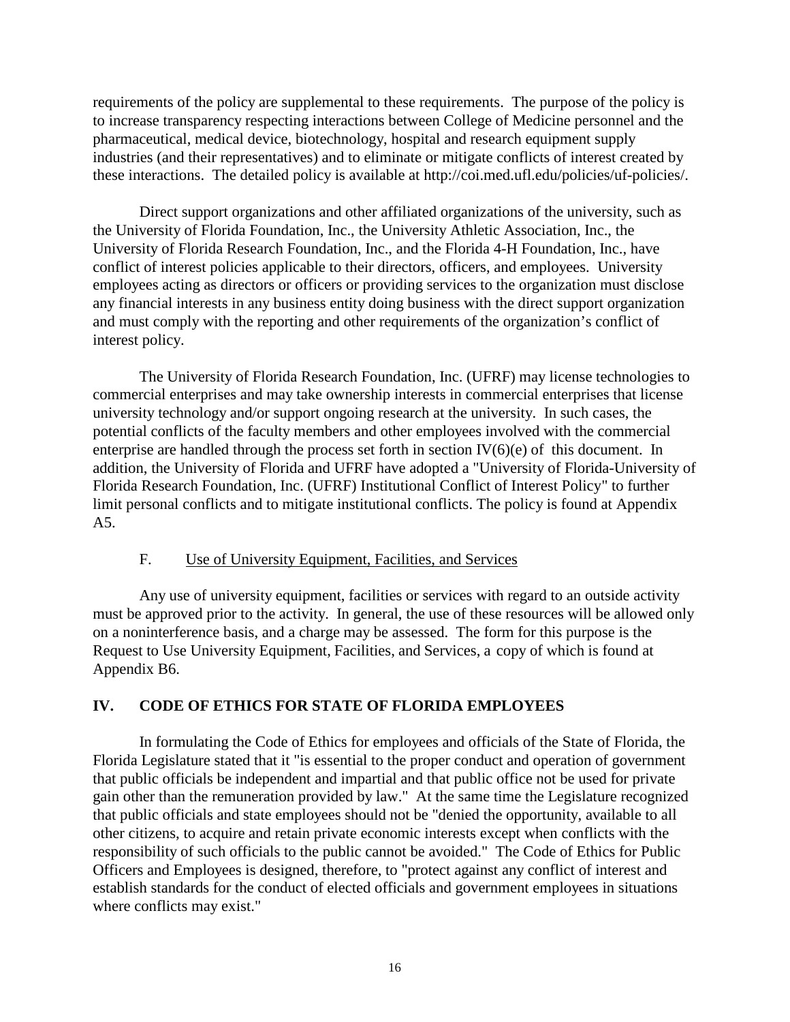<span id="page-16-0"></span>requirements of the policy are supplemental to these requirements. The purpose of the policy is to increase transparency respecting interactions between College of Medicine personnel and the pharmaceutical, medical device, biotechnology, hospital and research equipment supply industries (and their representatives) and to eliminate or mitigate conflicts of interest created by these interactions. The detailed policy is available at http://coi.med.ufl.edu/policies/uf-policies/.

Direct support organizations and other affiliated organizations of the university, such as the University of Florida Foundation, Inc., the University Athletic Association, Inc., the University of Florida Research Foundation, Inc., and the Florida 4-H Foundation, Inc., have conflict of interest policies applicable to their directors, officers, and employees. University employees acting as directors or officers or providing services to the organization must disclose any financial interests in any business entity doing business with the direct support organization and must comply with the reporting and other requirements of the organization's conflict of interest policy.

The University of Florida Research Foundation, Inc. (UFRF) may license technologies to commercial enterprises and may take ownership interests in commercial enterprises that license university technology and/or support ongoing research at the university. In such cases, the potential conflicts of the faculty members and other employees involved with the commercial enterprise are handled through the process set forth in section  $IV(6)(e)$  of this document. In addition, the University of Florida and UFRF have adopted a "University of Florida-University of Florida Research Foundation, Inc. (UFRF) Institutional Conflict of Interest Policy" to further limit personal conflicts and to mitigate institutional conflicts. The policy is found at Appendix A5.

#### F. Use of University Equipment, Facilities, and Services

Any use of university equipment, facilities or services with regard to an outside activity must be approved prior to the activity. In general, the use of these resources will be allowed only on a noninterference basis, and a charge may be assessed. The form for this purpose is the Request to Use University Equipment, Facilities, and Services, a copy of which is found at Appendix B6.

#### **IV. CODE OF ETHICS FOR STATE OF FLORIDA EMPLOYEES**

In formulating the Code of Ethics for employees and officials of the State of Florida, the Florida Legislature stated that it "is essential to the proper conduct and operation of government that public officials be independent and impartial and that public office not be used for private gain other than the remuneration provided by law." At the same time the Legislature recognized that public officials and state employees should not be "denied the opportunity, available to all other citizens, to acquire and retain private economic interests except when conflicts with the responsibility of such officials to the public cannot be avoided." The Code of Ethics for Public Officers and Employees is designed, therefore, to "protect against any conflict of interest and establish standards for the conduct of elected officials and government employees in situations where conflicts may exist."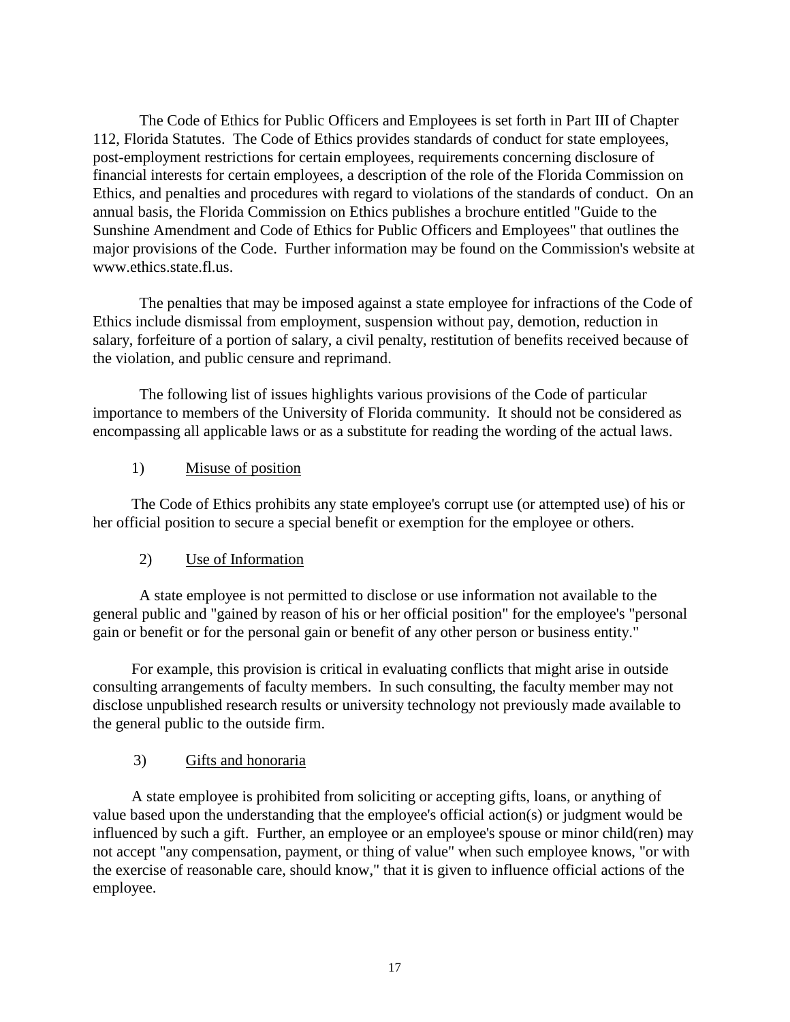The Code of Ethics for Public Officers and Employees is set forth in Part III of Chapter 112, Florida Statutes. The Code of Ethics provides standards of conduct for state employees, post-employment restrictions for certain employees, requirements concerning disclosure of financial interests for certain employees, a description of the role of the Florida Commission on Ethics, and penalties and procedures with regard to violations of the standards of conduct. On an annual basis, the Florida Commission on Ethics publishes a brochure entitled "Guide to the Sunshine Amendment and Code of Ethics for Public Officers and Employees" that outlines the major provisions of the Code. Further information may be found on the Commission's website at www.ethics.state.fl.us.

The penalties that may be imposed against a state employee for infractions of the Code of Ethics include dismissal from employment, suspension without pay, demotion, reduction in salary, forfeiture of a portion of salary, a civil penalty, restitution of benefits received because of the violation, and public censure and reprimand.

The following list of issues highlights various provisions of the Code of particular importance to members of the University of Florida community. It should not be considered as encompassing all applicable laws or as a substitute for reading the wording of the actual laws.

## 1) Misuse of position

The Code of Ethics prohibits any state employee's corrupt use (or attempted use) of his or her official position to secure a special benefit or exemption for the employee or others.

# 2) Use of Information

A state employee is not permitted to disclose or use information not available to the general public and "gained by reason of his or her official position" for the employee's "personal gain or benefit or for the personal gain or benefit of any other person or business entity."

For example, this provision is critical in evaluating conflicts that might arise in outside consulting arrangements of faculty members. In such consulting, the faculty member may not disclose unpublished research results or university technology not previously made available to the general public to the outside firm.

#### 3) Gifts and honoraria

A state employee is prohibited from soliciting or accepting gifts, loans, or anything of value based upon the understanding that the employee's official action(s) or judgment would be influenced by such a gift. Further, an employee or an employee's spouse or minor child(ren) may not accept "any compensation, payment, or thing of value" when such employee knows, "or with the exercise of reasonable care, should know," that it is given to influence official actions of the employee.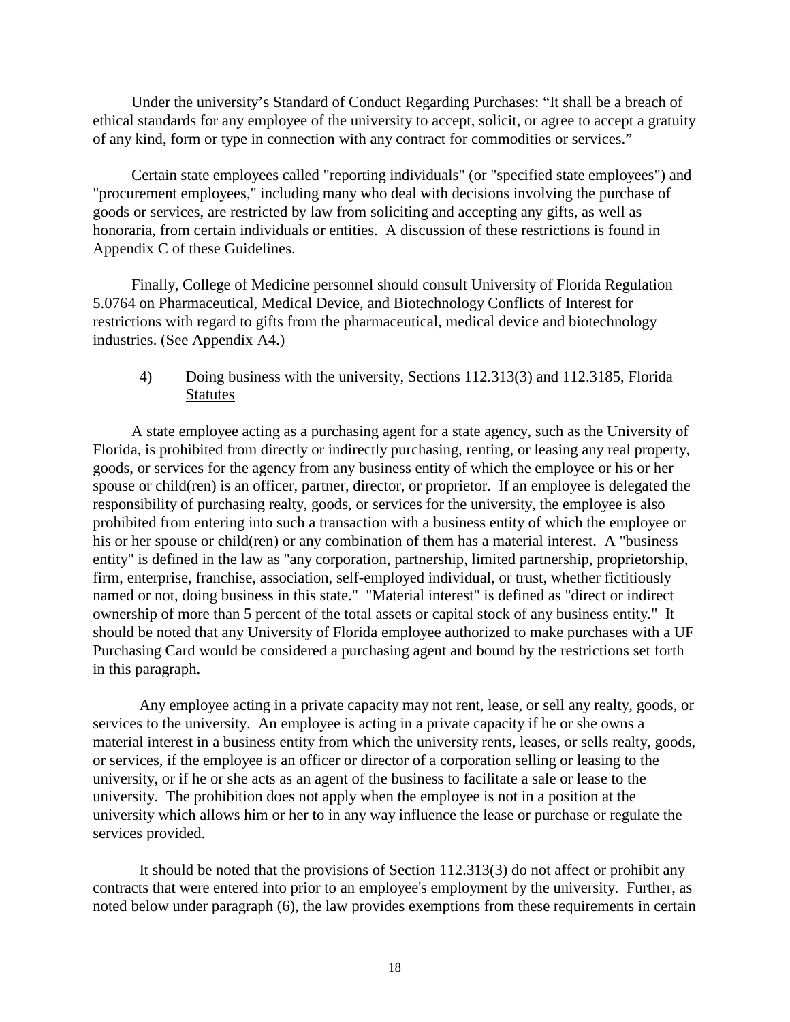Under the university's Standard of Conduct Regarding Purchases: "It shall be a breach of ethical standards for any employee of the university to accept, solicit, or agree to accept a gratuity of any kind, form or type in connection with any contract for commodities or services."

Certain state employees called "reporting individuals" (or "specified state employees") and "procurement employees," including many who deal with decisions involving the purchase of goods or services, are restricted by law from soliciting and accepting any gifts, as well as honoraria, from certain individuals or entities. A discussion of these restrictions is found in Appendix C of these Guidelines.

Finally, College of Medicine personnel should consult University of Florida Regulation 5.0764 on Pharmaceutical, Medical Device, and Biotechnology Conflicts of Interest for restrictions with regard to gifts from the pharmaceutical, medical device and biotechnology industries. (See Appendix A4.)

## 4) Doing business with the university, Sections 112.313(3) and 112.3185, Florida **Statutes**

A state employee acting as a purchasing agent for a state agency, such as the University of Florida, is prohibited from directly or indirectly purchasing, renting, or leasing any real property, goods, or services for the agency from any business entity of which the employee or his or her spouse or child(ren) is an officer, partner, director, or proprietor. If an employee is delegated the responsibility of purchasing realty, goods, or services for the university, the employee is also prohibited from entering into such a transaction with a business entity of which the employee or his or her spouse or child(ren) or any combination of them has a material interest. A "business entity" is defined in the law as "any corporation, partnership, limited partnership, proprietorship, firm, enterprise, franchise, association, self-employed individual, or trust, whether fictitiously named or not, doing business in this state." "Material interest" is defined as "direct or indirect ownership of more than 5 percent of the total assets or capital stock of any business entity." It should be noted that any University of Florida employee authorized to make purchases with a UF Purchasing Card would be considered a purchasing agent and bound by the restrictions set forth in this paragraph.

Any employee acting in a private capacity may not rent, lease, or sell any realty, goods, or services to the university. An employee is acting in a private capacity if he or she owns a material interest in a business entity from which the university rents, leases, or sells realty, goods, or services, if the employee is an officer or director of a corporation selling or leasing to the university, or if he or she acts as an agent of the business to facilitate a sale or lease to the university. The prohibition does not apply when the employee is not in a position at the university which allows him or her to in any way influence the lease or purchase or regulate the services provided.

It should be noted that the provisions of Section 112.313(3) do not affect or prohibit any contracts that were entered into prior to an employee's employment by the university. Further, as noted below under paragraph (6), the law provides exemptions from these requirements in certain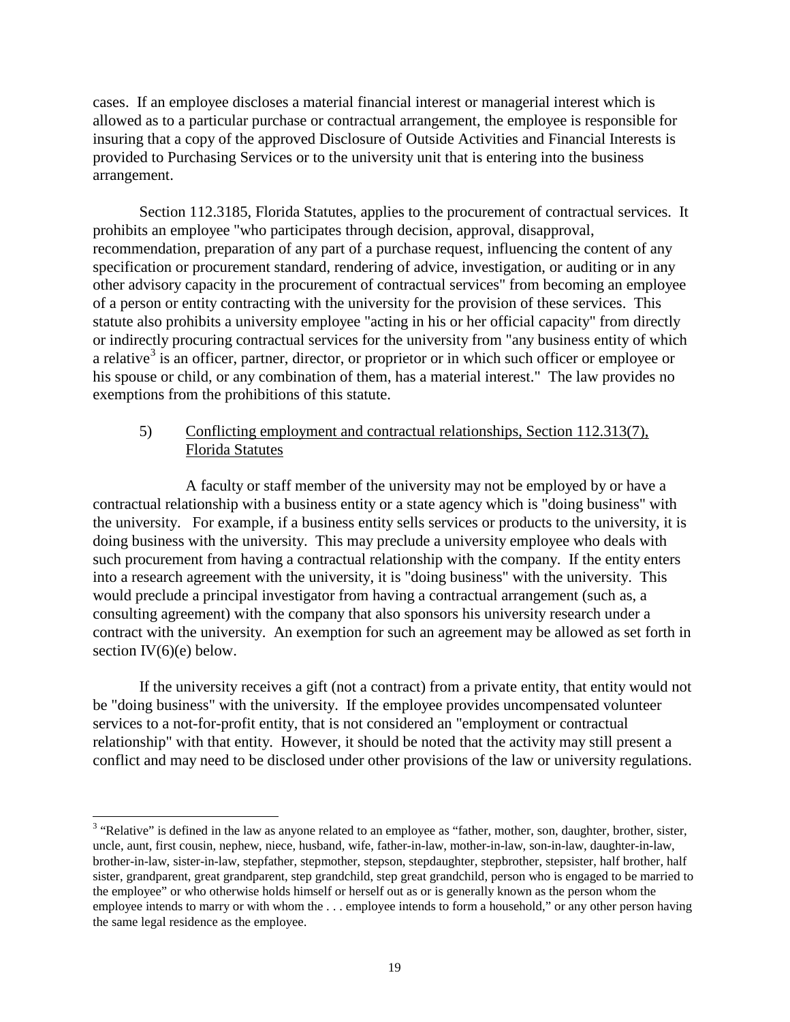cases. If an employee discloses a material financial interest or managerial interest which is allowed as to a particular purchase or contractual arrangement, the employee is responsible for insuring that a copy of the approved Disclosure of Outside Activities and Financial Interests is provided to Purchasing Services or to the university unit that is entering into the business arrangement.

Section 112.3185, Florida Statutes, applies to the procurement of contractual services. It prohibits an employee "who participates through decision, approval, disapproval, recommendation, preparation of any part of a purchase request, influencing the content of any specification or procurement standard, rendering of advice, investigation, or auditing or in any other advisory capacity in the procurement of contractual services" from becoming an employee of a person or entity contracting with the university for the provision of these services. This statute also prohibits a university employee "acting in his or her official capacity" from directly or indirectly procuring contractual services for the university from "any business entity of which a relative<sup>[3](#page-19-0)</sup> is an officer, partner, director, or proprietor or in which such officer or employee or his spouse or child, or any combination of them, has a material interest." The law provides no exemptions from the prohibitions of this statute.

# 5) Conflicting employment and contractual relationships, Section 112.313(7), Florida Statutes

A faculty or staff member of the university may not be employed by or have a contractual relationship with a business entity or a state agency which is "doing business" with the university. For example, if a business entity sells services or products to the university, it is doing business with the university. This may preclude a university employee who deals with such procurement from having a contractual relationship with the company. If the entity enters into a research agreement with the university, it is "doing business" with the university. This would preclude a principal investigator from having a contractual arrangement (such as, a consulting agreement) with the company that also sponsors his university research under a contract with the university. An exemption for such an agreement may be allowed as set forth in section  $IV(6)(e)$  below.

If the university receives a gift (not a contract) from a private entity, that entity would not be "doing business" with the university. If the employee provides uncompensated volunteer services to a not-for-profit entity, that is not considered an "employment or contractual relationship" with that entity. However, it should be noted that the activity may still present a conflict and may need to be disclosed under other provisions of the law or university regulations.

<span id="page-19-0"></span><sup>&</sup>lt;sup>3</sup> "Relative" is defined in the law as anyone related to an employee as "father, mother, son, daughter, brother, sister, uncle, aunt, first cousin, nephew, niece, husband, wife, father-in-law, mother-in-law, son-in-law, daughter-in-law, brother-in-law, sister-in-law, stepfather, stepmother, stepson, stepdaughter, stepbrother, stepsister, half brother, half sister, grandparent, great grandparent, step grandchild, step great grandchild, person who is engaged to be married to the employee" or who otherwise holds himself or herself out as or is generally known as the person whom the employee intends to marry or with whom the . . . employee intends to form a household," or any other person having the same legal residence as the employee.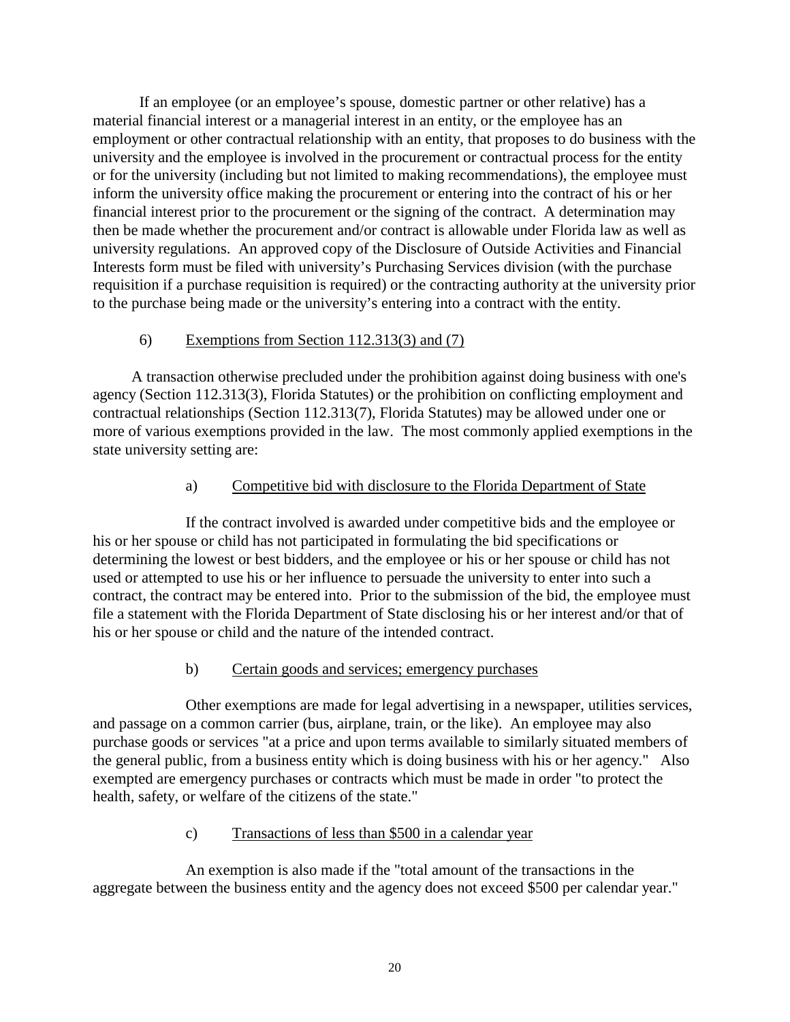If an employee (or an employee's spouse, domestic partner or other relative) has a material financial interest or a managerial interest in an entity, or the employee has an employment or other contractual relationship with an entity, that proposes to do business with the university and the employee is involved in the procurement or contractual process for the entity or for the university (including but not limited to making recommendations), the employee must inform the university office making the procurement or entering into the contract of his or her financial interest prior to the procurement or the signing of the contract. A determination may then be made whether the procurement and/or contract is allowable under Florida law as well as university regulations. An approved copy of the Disclosure of Outside Activities and Financial Interests form must be filed with university's Purchasing Services division (with the purchase requisition if a purchase requisition is required) or the contracting authority at the university prior to the purchase being made or the university's entering into a contract with the entity.

# 6) Exemptions from Section 112.313(3) and (7)

A transaction otherwise precluded under the prohibition against doing business with one's agency (Section 112.313(3), Florida Statutes) or the prohibition on conflicting employment and contractual relationships (Section 112.313(7), Florida Statutes) may be allowed under one or more of various exemptions provided in the law. The most commonly applied exemptions in the state university setting are:

# a) Competitive bid with disclosure to the Florida Department of State

If the contract involved is awarded under competitive bids and the employee or his or her spouse or child has not participated in formulating the bid specifications or determining the lowest or best bidders, and the employee or his or her spouse or child has not used or attempted to use his or her influence to persuade the university to enter into such a contract, the contract may be entered into. Prior to the submission of the bid, the employee must file a statement with the Florida Department of State disclosing his or her interest and/or that of his or her spouse or child and the nature of the intended contract.

# b) Certain goods and services; emergency purchases

Other exemptions are made for legal advertising in a newspaper, utilities services, and passage on a common carrier (bus, airplane, train, or the like). An employee may also purchase goods or services "at a price and upon terms available to similarly situated members of the general public, from a business entity which is doing business with his or her agency." Also exempted are emergency purchases or contracts which must be made in order "to protect the health, safety, or welfare of the citizens of the state."

# c) Transactions of less than \$500 in a calendar year

An exemption is also made if the "total amount of the transactions in the aggregate between the business entity and the agency does not exceed \$500 per calendar year."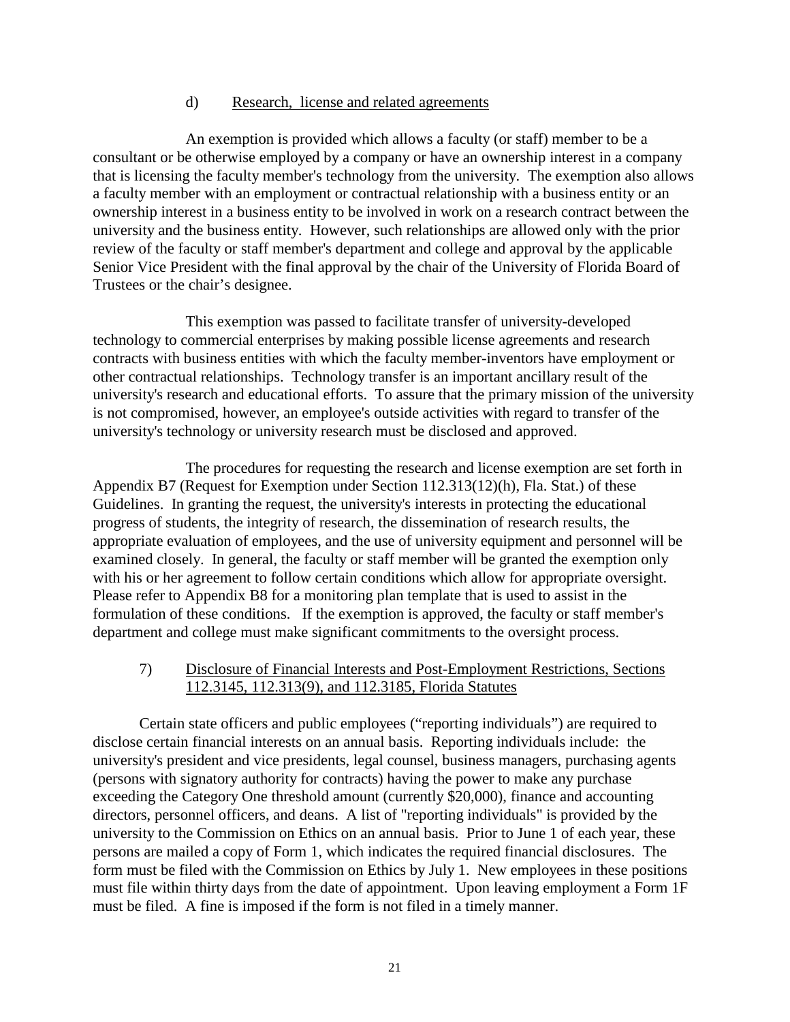#### d) Research, license and related agreements

 An exemption is provided which allows a faculty (or staff) member to be a consultant or be otherwise employed by a company or have an ownership interest in a company that is licensing the faculty member's technology from the university. The exemption also allows a faculty member with an employment or contractual relationship with a business entity or an ownership interest in a business entity to be involved in work on a research contract between the university and the business entity. However, such relationships are allowed only with the prior review of the faculty or staff member's department and college and approval by the applicable Senior Vice President with the final approval by the chair of the University of Florida Board of Trustees or the chair's designee.

This exemption was passed to facilitate transfer of university-developed technology to commercial enterprises by making possible license agreements and research contracts with business entities with which the faculty member-inventors have employment or other contractual relationships. Technology transfer is an important ancillary result of the university's research and educational efforts. To assure that the primary mission of the university is not compromised, however, an employee's outside activities with regard to transfer of the university's technology or university research must be disclosed and approved.

The procedures for requesting the research and license exemption are set forth in Appendix B7 (Request for Exemption under Section 112.313(12)(h), Fla. Stat.) of these Guidelines. In granting the request, the university's interests in protecting the educational progress of students, the integrity of research, the dissemination of research results, the appropriate evaluation of employees, and the use of university equipment and personnel will be examined closely. In general, the faculty or staff member will be granted the exemption only with his or her agreement to follow certain conditions which allow for appropriate oversight. Please refer to Appendix B8 for a monitoring plan template that is used to assist in the formulation of these conditions. If the exemption is approved, the faculty or staff member's department and college must make significant commitments to the oversight process.

## 7) Disclosure of Financial Interests and Post-Employment Restrictions, Sections 112.3145, 112.313(9), and 112.3185, Florida Statutes

Certain state officers and public employees ("reporting individuals") are required to disclose certain financial interests on an annual basis. Reporting individuals include: the university's president and vice presidents, legal counsel, business managers, purchasing agents (persons with signatory authority for contracts) having the power to make any purchase exceeding the Category One threshold amount (currently \$20,000), finance and accounting directors, personnel officers, and deans. A list of "reporting individuals" is provided by the university to the Commission on Ethics on an annual basis. Prior to June 1 of each year, these persons are mailed a copy of Form 1, which indicates the required financial disclosures. The form must be filed with the Commission on Ethics by July 1. New employees in these positions must file within thirty days from the date of appointment. Upon leaving employment a Form 1F must be filed. A fine is imposed if the form is not filed in a timely manner.